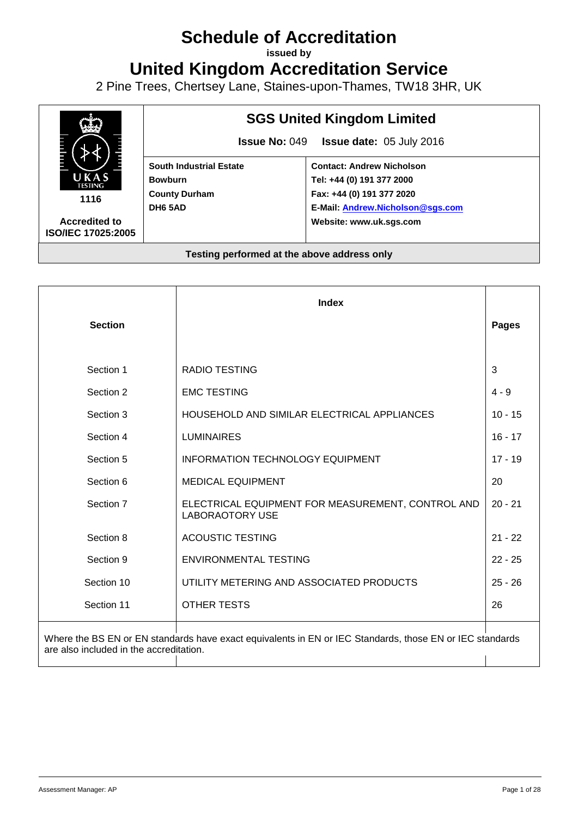# **Schedule of Accreditation**

**issued by**

**United Kingdom Accreditation Service**

2 Pine Trees, Chertsey Lane, Staines-upon-Thames, TW18 3HR, UK



|                                                                                                                                                     | <b>Index</b>                                                                |              |
|-----------------------------------------------------------------------------------------------------------------------------------------------------|-----------------------------------------------------------------------------|--------------|
| <b>Section</b>                                                                                                                                      |                                                                             | <b>Pages</b> |
|                                                                                                                                                     |                                                                             |              |
| Section 1                                                                                                                                           | <b>RADIO TESTING</b>                                                        | 3            |
| Section 2                                                                                                                                           | <b>EMC TESTING</b>                                                          | $4 - 9$      |
| Section 3                                                                                                                                           | HOUSEHOLD AND SIMILAR ELECTRICAL APPLIANCES                                 | $10 - 15$    |
| Section 4                                                                                                                                           | <b>LUMINAIRES</b>                                                           | $16 - 17$    |
| Section 5                                                                                                                                           | <b>INFORMATION TECHNOLOGY EQUIPMENT</b>                                     | $17 - 19$    |
| Section 6                                                                                                                                           | <b>MEDICAL EQUIPMENT</b>                                                    | 20           |
| Section 7                                                                                                                                           | ELECTRICAL EQUIPMENT FOR MEASUREMENT, CONTROL AND<br><b>LABORAOTORY USE</b> | $20 - 21$    |
| Section 8                                                                                                                                           | <b>ACOUSTIC TESTING</b>                                                     | $21 - 22$    |
| Section 9                                                                                                                                           | <b>ENVIRONMENTAL TESTING</b>                                                | $22 - 25$    |
| Section 10                                                                                                                                          | UTILITY METERING AND ASSOCIATED PRODUCTS                                    | $25 - 26$    |
| Section 11                                                                                                                                          | <b>OTHER TESTS</b>                                                          | 26           |
| Where the BS EN or EN standards have exact equivalents in EN or IEC Standards, those EN or IEC standards<br>are also included in the accreditation. |                                                                             |              |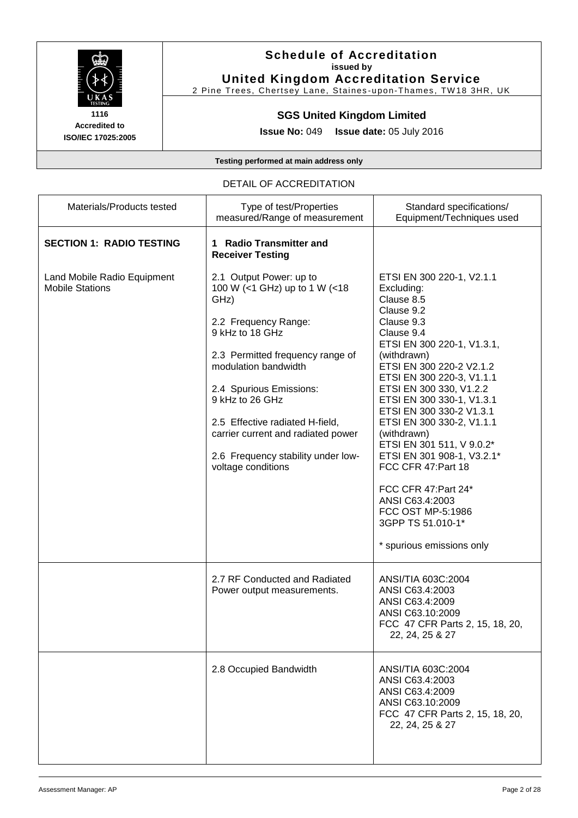

#### **Schedule of Accreditation issued by United Kingdom Accreditation Service**

2 Pine Trees, Chertsey Lane, Staines-upon-Thames, TW18 3HR, UK

#### **SGS United Kingdom Limited**

**Issue No:** 049 **Issue date:** 05 July 2016

**Testing performed at main address only**

#### DETAIL OF ACCREDITATION

| Materials/Products tested                             | Type of test/Properties<br>measured/Range of measurement                                                                                                                                                                                                                                                                                                   | Standard specifications/<br>Equipment/Techniques used                                                                                                                                                                                                                                                                                                                                                                                                                                                                                   |
|-------------------------------------------------------|------------------------------------------------------------------------------------------------------------------------------------------------------------------------------------------------------------------------------------------------------------------------------------------------------------------------------------------------------------|-----------------------------------------------------------------------------------------------------------------------------------------------------------------------------------------------------------------------------------------------------------------------------------------------------------------------------------------------------------------------------------------------------------------------------------------------------------------------------------------------------------------------------------------|
| <b>SECTION 1: RADIO TESTING</b>                       | 1 Radio Transmitter and<br><b>Receiver Testing</b>                                                                                                                                                                                                                                                                                                         |                                                                                                                                                                                                                                                                                                                                                                                                                                                                                                                                         |
| Land Mobile Radio Equipment<br><b>Mobile Stations</b> | 2.1 Output Power: up to<br>100 W (<1 GHz) up to 1 W (<18<br>GHz)<br>2.2 Frequency Range:<br>9 kHz to 18 GHz<br>2.3 Permitted frequency range of<br>modulation bandwidth<br>2.4 Spurious Emissions:<br>9 kHz to 26 GHz<br>2.5 Effective radiated H-field,<br>carrier current and radiated power<br>2.6 Frequency stability under low-<br>voltage conditions | ETSI EN 300 220-1, V2.1.1<br>Excluding:<br>Clause 8.5<br>Clause 9.2<br>Clause 9.3<br>Clause 9.4<br>ETSI EN 300 220-1, V1.3.1,<br>(withdrawn)<br>ETSI EN 300 220-2 V2.1.2<br>ETSI EN 300 220-3, V1.1.1<br>ETSI EN 300 330, V1.2.2<br>ETSI EN 300 330-1, V1.3.1<br>ETSI EN 300 330-2 V1.3.1<br>ETSI EN 300 330-2, V1.1.1<br>(withdrawn)<br>ETSI EN 301 511, V 9.0.2*<br>ETSI EN 301 908-1, V3.2.1*<br>FCC CFR 47:Part 18<br>FCC CFR 47:Part 24*<br>ANSI C63.4:2003<br>FCC OST MP-5:1986<br>3GPP TS 51.010-1*<br>* spurious emissions only |
|                                                       | 2.7 RF Conducted and Radiated<br>Power output measurements.                                                                                                                                                                                                                                                                                                | ANSI/TIA 603C:2004<br>ANSI C63.4:2003<br>ANSI C63.4:2009<br>ANSI C63.10:2009<br>FCC 47 CFR Parts 2, 15, 18, 20,<br>22, 24, 25 & 27                                                                                                                                                                                                                                                                                                                                                                                                      |
|                                                       | 2.8 Occupied Bandwidth                                                                                                                                                                                                                                                                                                                                     | ANSI/TIA 603C:2004<br>ANSI C63.4:2003<br>ANSI C63.4:2009<br>ANSI C63.10:2009<br>FCC 47 CFR Parts 2, 15, 18, 20,<br>22, 24, 25 & 27                                                                                                                                                                                                                                                                                                                                                                                                      |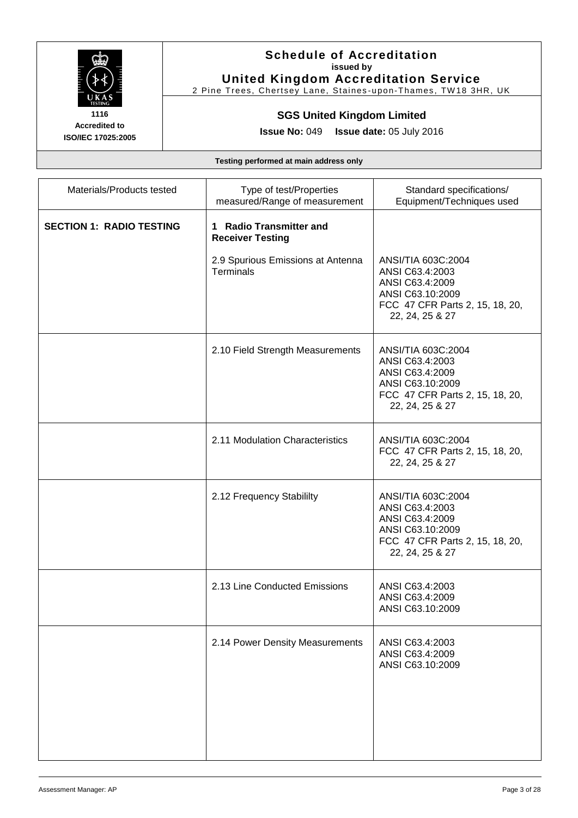

# **Schedule of Accreditation issued by**

**United Kingdom Accreditation Service** 2 Pine Trees, Chertsey Lane, Staines-upon-Thames, TW18 3HR, UK

# **SGS United Kingdom Limited**

**Issue No:** 049 **Issue date:** 05 July 2016

| Materials/Products tested       | Type of test/Properties<br>measured/Range of measurement | Standard specifications/<br>Equipment/Techniques used                                                                              |
|---------------------------------|----------------------------------------------------------|------------------------------------------------------------------------------------------------------------------------------------|
| <b>SECTION 1: RADIO TESTING</b> | 1 Radio Transmitter and<br><b>Receiver Testing</b>       |                                                                                                                                    |
|                                 | 2.9 Spurious Emissions at Antenna<br><b>Terminals</b>    | ANSI/TIA 603C:2004<br>ANSI C63.4:2003<br>ANSI C63.4:2009<br>ANSI C63.10:2009<br>FCC 47 CFR Parts 2, 15, 18, 20,<br>22, 24, 25 & 27 |
|                                 | 2.10 Field Strength Measurements                         | ANSI/TIA 603C:2004<br>ANSI C63.4:2003<br>ANSI C63.4:2009<br>ANSI C63.10:2009<br>FCC 47 CFR Parts 2, 15, 18, 20,<br>22, 24, 25 & 27 |
|                                 | 2.11 Modulation Characteristics                          | ANSI/TIA 603C:2004<br>FCC 47 CFR Parts 2, 15, 18, 20,<br>22, 24, 25 & 27                                                           |
|                                 | 2.12 Frequency Stabililty                                | ANSI/TIA 603C:2004<br>ANSI C63.4:2003<br>ANSI C63.4:2009<br>ANSI C63.10:2009<br>FCC 47 CFR Parts 2, 15, 18, 20,<br>22, 24, 25 & 27 |
|                                 | 2.13 Line Conducted Emissions                            | ANSI C63.4:2003<br>ANSI C63.4:2009<br>ANSI C63.10:2009                                                                             |
|                                 | 2.14 Power Density Measurements                          | ANSI C63.4:2003<br>ANSI C63.4:2009<br>ANSI C63.10:2009                                                                             |
|                                 |                                                          |                                                                                                                                    |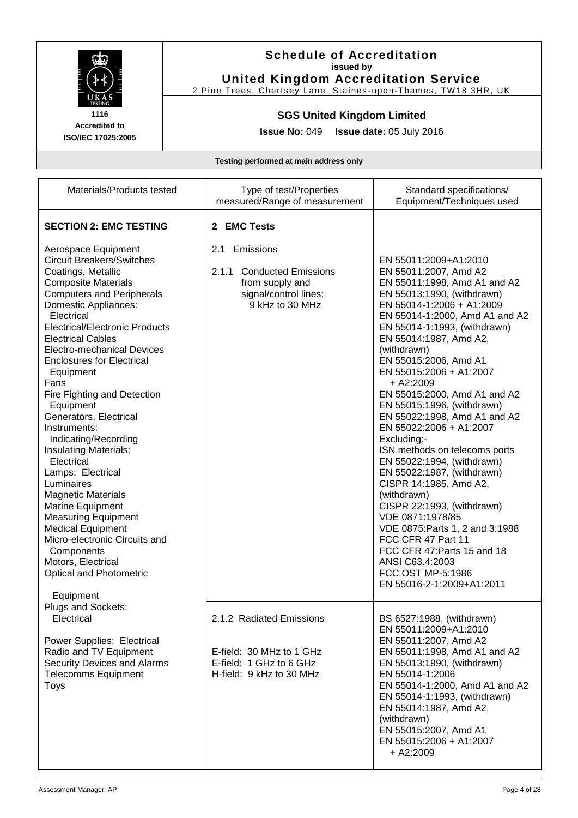

**Accredited to**

#### **Schedule of Accreditation issued by United Kingdom Accreditation Service**

2 Pine Trees, Chertsey Lane, Staines-upon-Thames, TW18 3HR, UK

#### **SGS United Kingdom Limited**

**Issue No:** 049 **Issue date:** 05 July 2016

**ISO/IEC 17025:2005**

| Materials/Products tested                                                                                                                                                                                                                                                                                                                                                                                                                                                                                                                                                                                                                                                                                                                                                                                                                                                                                                                                                         | Type of test/Properties<br>measured/Range of measurement                                                                                     | Standard specifications/<br>Equipment/Techniques used                                                                                                                                                                                                                                                                                                                                                                                                                                                                                                                                                                                                                                                                                                                                                                |
|-----------------------------------------------------------------------------------------------------------------------------------------------------------------------------------------------------------------------------------------------------------------------------------------------------------------------------------------------------------------------------------------------------------------------------------------------------------------------------------------------------------------------------------------------------------------------------------------------------------------------------------------------------------------------------------------------------------------------------------------------------------------------------------------------------------------------------------------------------------------------------------------------------------------------------------------------------------------------------------|----------------------------------------------------------------------------------------------------------------------------------------------|----------------------------------------------------------------------------------------------------------------------------------------------------------------------------------------------------------------------------------------------------------------------------------------------------------------------------------------------------------------------------------------------------------------------------------------------------------------------------------------------------------------------------------------------------------------------------------------------------------------------------------------------------------------------------------------------------------------------------------------------------------------------------------------------------------------------|
| <b>SECTION 2: EMC TESTING</b><br>Aerospace Equipment<br><b>Circuit Breakers/Switches</b><br>Coatings, Metallic<br><b>Composite Materials</b><br><b>Computers and Peripherals</b><br>Domestic Appliances:<br>Electrical<br><b>Electrical/Electronic Products</b><br><b>Electrical Cables</b><br>Electro-mechanical Devices<br><b>Enclosures for Electrical</b><br>Equipment<br>Fans<br>Fire Fighting and Detection<br>Equipment<br>Generators, Electrical<br>Instruments:<br>Indicating/Recording<br><b>Insulating Materials:</b><br>Electrical<br>Lamps: Electrical<br>Luminaires<br><b>Magnetic Materials</b><br>Marine Equipment<br><b>Measuring Equipment</b><br><b>Medical Equipment</b><br>Micro-electronic Circuits and<br>Components<br>Motors, Electrical<br><b>Optical and Photometric</b><br>Equipment<br>Plugs and Sockets:<br>Electrical<br>Power Supplies: Electrical<br>Radio and TV Equipment<br>Security Devices and Alarms<br><b>Telecomms Equipment</b><br>Toys | 2 EMC Tests<br>2.1<br><b>Emissions</b><br><b>Conducted Emissions</b><br>2.1.1<br>from supply and<br>signal/control lines:<br>9 kHz to 30 MHz | EN 55011:2009+A1:2010<br>EN 55011:2007, Amd A2<br>EN 55011:1998, Amd A1 and A2<br>EN 55013:1990, (withdrawn)<br>EN 55014-1:2006 + A1:2009<br>EN 55014-1:2000, Amd A1 and A2<br>EN 55014-1:1993, (withdrawn)<br>EN 55014:1987, Amd A2,<br>(withdrawn)<br>EN 55015:2006, Amd A1<br>EN 55015:2006 + A1:2007<br>$+ A2:2009$<br>EN 55015:2000, Amd A1 and A2<br>EN 55015:1996, (withdrawn)<br>EN 55022:1998, Amd A1 and A2<br>EN 55022:2006 + A1:2007<br>Excluding:-<br>ISN methods on telecoms ports<br>EN 55022:1994, (withdrawn)<br>EN 55022:1987, (withdrawn)<br>CISPR 14:1985, Amd A2,<br>(withdrawn)<br>CISPR 22:1993, (withdrawn)<br>VDE 0871:1978/85<br>VDE 0875: Parts 1, 2 and 3:1988<br>FCC CFR 47 Part 11<br>FCC CFR 47: Parts 15 and 18<br>ANSI C63.4:2003<br>FCC OST MP-5:1986<br>EN 55016-2-1:2009+A1:2011 |
|                                                                                                                                                                                                                                                                                                                                                                                                                                                                                                                                                                                                                                                                                                                                                                                                                                                                                                                                                                                   | 2.1.2 Radiated Emissions<br>E-field: 30 MHz to 1 GHz<br>E-field: 1 GHz to 6 GHz<br>H-field: 9 kHz to 30 MHz                                  | BS 6527:1988, (withdrawn)<br>EN 55011:2009+A1:2010<br>EN 55011:2007, Amd A2<br>EN 55011:1998, Amd A1 and A2<br>EN 55013:1990, (withdrawn)<br>EN 55014-1:2006<br>EN 55014-1:2000, Amd A1 and A2<br>EN 55014-1:1993, (withdrawn)<br>EN 55014:1987, Amd A2,<br>(withdrawn)<br>EN 55015:2007, Amd A1<br>EN 55015:2006 + A1:2007<br>$+ A2:2009$                                                                                                                                                                                                                                                                                                                                                                                                                                                                           |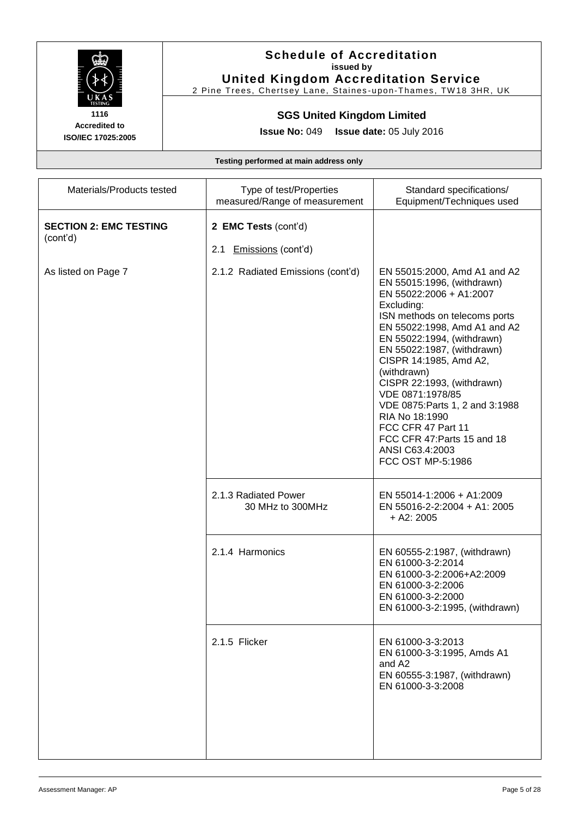

#### **Schedule of Accreditation issued by United Kingdom Accreditation Service**

2 Pine Trees, Chertsey Lane, Staines-upon-Thames, TW18 3HR, UK

# **SGS United Kingdom Limited**

**Issue No:** 049 **Issue date:** 05 July 2016

| Materials/Products tested                 | Type of test/Properties<br>measured/Range of measurement | Standard specifications/<br>Equipment/Techniques used                                                                                                                                                                                                                                                                                                                                                                                                                         |
|-------------------------------------------|----------------------------------------------------------|-------------------------------------------------------------------------------------------------------------------------------------------------------------------------------------------------------------------------------------------------------------------------------------------------------------------------------------------------------------------------------------------------------------------------------------------------------------------------------|
| <b>SECTION 2: EMC TESTING</b><br>(cont'd) | 2 EMC Tests (cont'd)<br>Emissions (cont'd)<br>2.1        |                                                                                                                                                                                                                                                                                                                                                                                                                                                                               |
| As listed on Page 7                       | 2.1.2 Radiated Emissions (cont'd)                        | EN 55015:2000, Amd A1 and A2<br>EN 55015:1996, (withdrawn)<br>EN 55022:2006 + A1:2007<br>Excluding:<br>ISN methods on telecoms ports<br>EN 55022:1998, Amd A1 and A2<br>EN 55022:1994, (withdrawn)<br>EN 55022:1987, (withdrawn)<br>CISPR 14:1985, Amd A2,<br>(withdrawn)<br>CISPR 22:1993, (withdrawn)<br>VDE 0871:1978/85<br>VDE 0875: Parts 1, 2 and 3:1988<br>RIA No 18:1990<br>FCC CFR 47 Part 11<br>FCC CFR 47: Parts 15 and 18<br>ANSI C63.4:2003<br>FCC OST MP-5:1986 |
|                                           | 2.1.3 Radiated Power<br>30 MHz to 300MHz                 | EN 55014-1:2006 + A1:2009<br>EN 55016-2-2:2004 + A1: 2005<br>$+$ A2: 2005                                                                                                                                                                                                                                                                                                                                                                                                     |
|                                           | 2.1.4 Harmonics                                          | EN 60555-2:1987, (withdrawn)<br>EN 61000-3-2:2014<br>EN 61000-3-2:2006+A2:2009<br>EN 61000-3-2:2006<br>EN 61000-3-2:2000<br>EN 61000-3-2:1995, (withdrawn)                                                                                                                                                                                                                                                                                                                    |
|                                           | 2.1.5 Flicker                                            | EN 61000-3-3:2013<br>EN 61000-3-3:1995, Amds A1<br>and A2<br>EN 60555-3:1987, (withdrawn)<br>EN 61000-3-3:2008                                                                                                                                                                                                                                                                                                                                                                |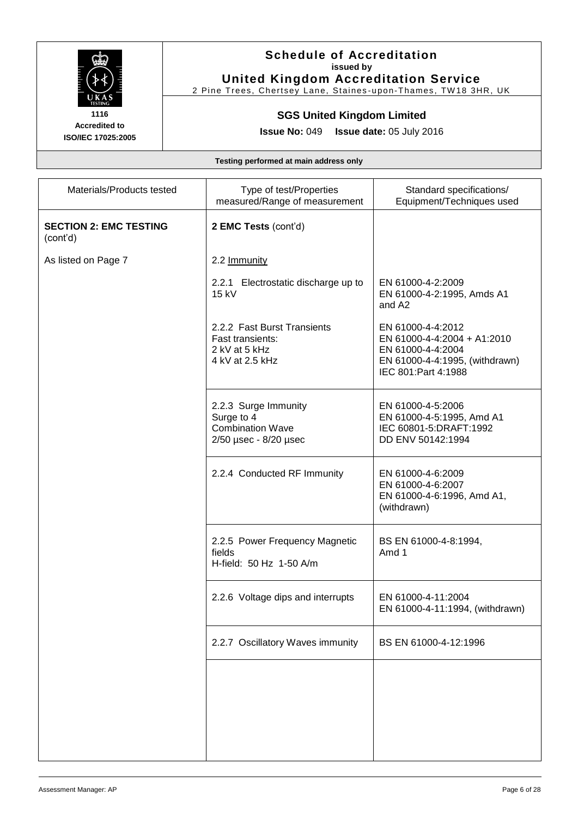

# **Schedule of Accreditation issued by**

**United Kingdom Accreditation Service** 2 Pine Trees, Chertsey Lane, Staines-upon-Thames, TW18 3HR, UK

# **SGS United Kingdom Limited**

**Issue No:** 049 **Issue date:** 05 July 2016

| Materials/Products tested                 | Type of test/Properties<br>measured/Range of measurement                               | Standard specifications/<br>Equipment/Techniques used                                                                            |
|-------------------------------------------|----------------------------------------------------------------------------------------|----------------------------------------------------------------------------------------------------------------------------------|
| <b>SECTION 2: EMC TESTING</b><br>(cont'd) | 2 EMC Tests (cont'd)                                                                   |                                                                                                                                  |
| As listed on Page 7                       | 2.2 Immunity                                                                           |                                                                                                                                  |
|                                           | 2.2.1 Electrostatic discharge up to<br>15 kV                                           | EN 61000-4-2:2009<br>EN 61000-4-2:1995, Amds A1<br>and A <sub>2</sub>                                                            |
|                                           | 2.2.2 Fast Burst Transients<br>Fast transients:<br>2 kV at 5 kHz<br>4 kV at 2.5 kHz    | EN 61000-4-4:2012<br>EN 61000-4-4:2004 + A1:2010<br>EN 61000-4-4:2004<br>EN 61000-4-4:1995, (withdrawn)<br>IEC 801: Part 4: 1988 |
|                                           | 2.2.3 Surge Immunity<br>Surge to 4<br><b>Combination Wave</b><br>2/50 µsec - 8/20 µsec | EN 61000-4-5:2006<br>EN 61000-4-5:1995, Amd A1<br>IEC 60801-5:DRAFT:1992<br>DD ENV 50142:1994                                    |
|                                           | 2.2.4 Conducted RF Immunity                                                            | EN 61000-4-6:2009<br>EN 61000-4-6:2007<br>EN 61000-4-6:1996, Amd A1,<br>(withdrawn)                                              |
|                                           | 2.2.5 Power Frequency Magnetic<br>fields<br>H-field: 50 Hz 1-50 A/m                    | BS EN 61000-4-8:1994,<br>Amd 1                                                                                                   |
|                                           | 2.2.6 Voltage dips and interrupts                                                      | EN 61000-4-11:2004<br>EN 61000-4-11:1994, (withdrawn)                                                                            |
|                                           | 2.2.7 Oscillatory Waves immunity                                                       | BS EN 61000-4-12:1996                                                                                                            |
|                                           |                                                                                        |                                                                                                                                  |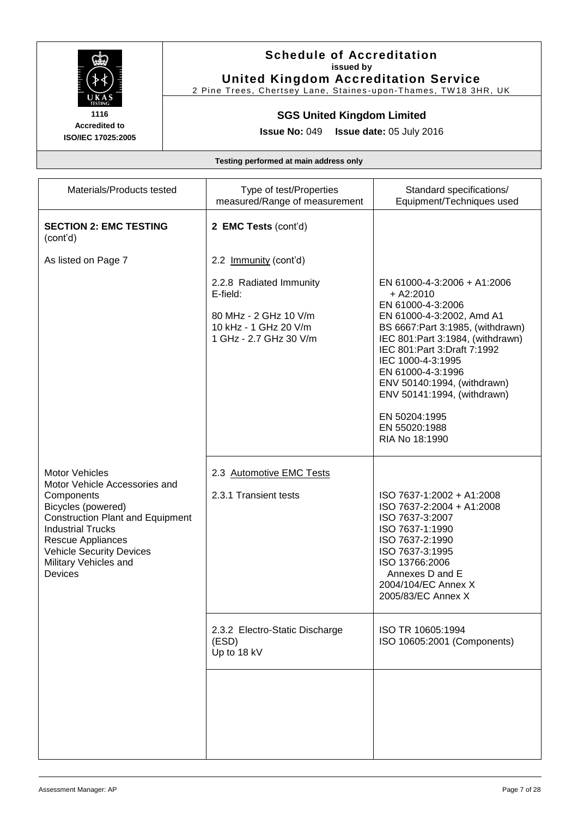

**Accredited to**

# **Schedule of Accreditation issued by**

**United Kingdom Accreditation Service** 2 Pine Trees, Chertsey Lane, Staines-upon-Thames, TW18 3HR, UK

# **SGS United Kingdom Limited**

**Issue No:** 049 **Issue date:** 05 July 2016

**ISO/IEC 17025:2005**

| Materials/Products tested                                                                                                                                                                                                                                     | Type of test/Properties<br>measured/Range of measurement                                                        | Standard specifications/<br>Equipment/Techniques used                                                                                                                                                                                                                                                                                                               |
|---------------------------------------------------------------------------------------------------------------------------------------------------------------------------------------------------------------------------------------------------------------|-----------------------------------------------------------------------------------------------------------------|---------------------------------------------------------------------------------------------------------------------------------------------------------------------------------------------------------------------------------------------------------------------------------------------------------------------------------------------------------------------|
| <b>SECTION 2: EMC TESTING</b><br>(cont'd)                                                                                                                                                                                                                     | 2 EMC Tests (cont'd)                                                                                            |                                                                                                                                                                                                                                                                                                                                                                     |
| As listed on Page 7                                                                                                                                                                                                                                           | 2.2 Immunity (cont'd)                                                                                           |                                                                                                                                                                                                                                                                                                                                                                     |
|                                                                                                                                                                                                                                                               | 2.2.8 Radiated Immunity<br>E-field:<br>80 MHz - 2 GHz 10 V/m<br>10 kHz - 1 GHz 20 V/m<br>1 GHz - 2.7 GHz 30 V/m | EN 61000-4-3:2006 + A1:2006<br>$+ A2:2010$<br>EN 61000-4-3:2006<br>EN 61000-4-3:2002, Amd A1<br>BS 6667: Part 3:1985, (withdrawn)<br>IEC 801: Part 3:1984, (withdrawn)<br>IEC 801: Part 3: Draft 7:1992<br>IEC 1000-4-3:1995<br>EN 61000-4-3:1996<br>ENV 50140:1994, (withdrawn)<br>ENV 50141:1994, (withdrawn)<br>EN 50204:1995<br>EN 55020:1988<br>RIA No 18:1990 |
| Motor Vehicles<br>Motor Vehicle Accessories and<br>Components<br>Bicycles (powered)<br><b>Construction Plant and Equipment</b><br><b>Industrial Trucks</b><br><b>Rescue Appliances</b><br><b>Vehicle Security Devices</b><br>Military Vehicles and<br>Devices | 2.3 Automotive EMC Tests<br>2.3.1 Transient tests                                                               | ISO 7637-1:2002 + A1:2008<br>ISO 7637-2:2004 + A1:2008<br>ISO 7637-3:2007<br>ISO 7637-1:1990<br>ISO 7637-2:1990<br>ISO 7637-3:1995<br>ISO 13766:2006<br>Annexes D and E<br>2004/104/EC Annex X<br>2005/83/EC Annex X                                                                                                                                                |
|                                                                                                                                                                                                                                                               | 2.3.2 Electro-Static Discharge<br>(ESD)<br>Up to 18 kV                                                          | ISO TR 10605:1994<br>ISO 10605:2001 (Components)                                                                                                                                                                                                                                                                                                                    |
|                                                                                                                                                                                                                                                               |                                                                                                                 |                                                                                                                                                                                                                                                                                                                                                                     |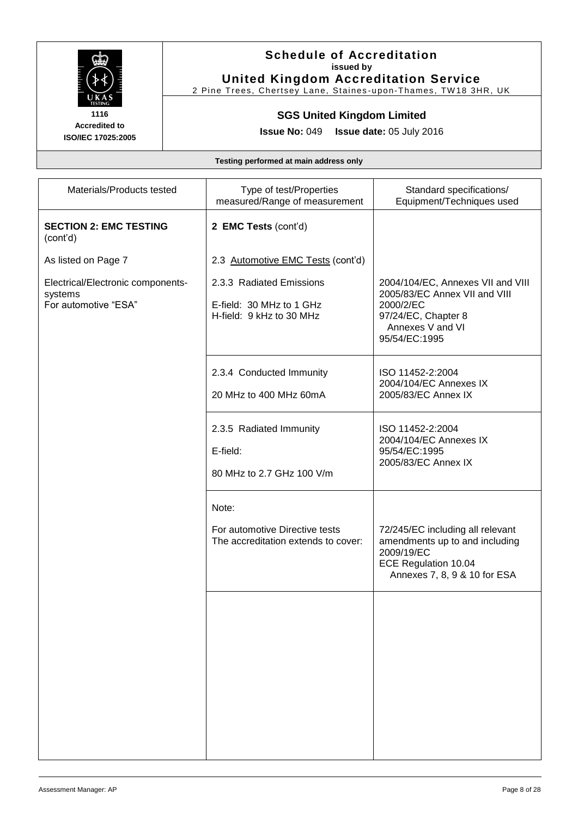

**Accredited to**

#### **Schedule of Accreditation issued by United Kingdom Accreditation Service**

2 Pine Trees, Chertsey Lane, Staines-upon-Thames, TW18 3HR, UK

#### **SGS United Kingdom Limited**

**Issue No:** 049 **Issue date:** 05 July 2016

**ISO/IEC 17025:2005**

| Materials/Products tested                                            | Type of test/Properties<br>measured/Range of measurement                         | Standard specifications/<br>Equipment/Techniques used                                                                                       |
|----------------------------------------------------------------------|----------------------------------------------------------------------------------|---------------------------------------------------------------------------------------------------------------------------------------------|
| <b>SECTION 2: EMC TESTING</b><br>(cont'd)                            | 2 EMC Tests (cont'd)                                                             |                                                                                                                                             |
| As listed on Page 7                                                  | 2.3 Automotive EMC Tests (cont'd)                                                |                                                                                                                                             |
| Electrical/Electronic components-<br>systems<br>For automotive "ESA" | 2.3.3 Radiated Emissions<br>E-field: 30 MHz to 1 GHz<br>H-field: 9 kHz to 30 MHz | 2004/104/EC, Annexes VII and VIII<br>2005/83/EC Annex VII and VIII<br>2000/2/EC<br>97/24/EC, Chapter 8<br>Annexes V and VI<br>95/54/EC:1995 |
|                                                                      | 2.3.4 Conducted Immunity<br>20 MHz to 400 MHz 60mA                               | ISO 11452-2:2004<br>2004/104/EC Annexes IX<br>2005/83/EC Annex IX                                                                           |
|                                                                      | 2.3.5 Radiated Immunity<br>E-field:<br>80 MHz to 2.7 GHz 100 V/m                 | ISO 11452-2:2004<br>2004/104/EC Annexes IX<br>95/54/EC:1995<br>2005/83/EC Annex IX                                                          |
|                                                                      | Note:<br>For automotive Directive tests<br>The accreditation extends to cover:   | 72/245/EC including all relevant<br>amendments up to and including<br>2009/19/EC<br>ECE Regulation 10.04<br>Annexes 7, 8, 9 & 10 for ESA    |
|                                                                      |                                                                                  |                                                                                                                                             |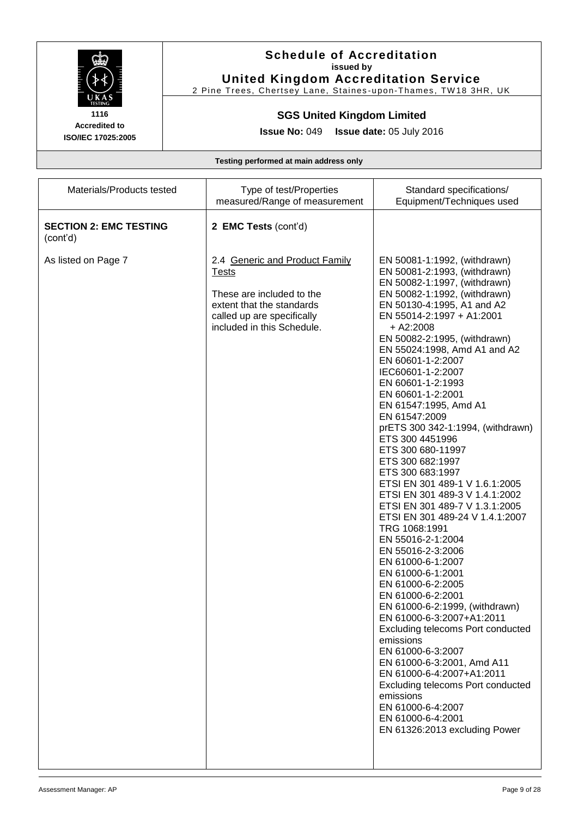

#### **Schedule of Accreditation issued by United Kingdom Accreditation Service**

2 Pine Trees, Chertsey Lane, Staines-upon-Thames, TW18 3HR, UK

#### **SGS United Kingdom Limited**

**Issue No:** 049 **Issue date:** 05 July 2016

| Materials/Products tested                 | Type of test/Properties<br>measured/Range of measurement                                                                                                             | Standard specifications/<br>Equipment/Techniques used                                                                                                                                                                                                                                                                                                                                                                                                                                                                                                                                                                                                                                                                                                                                                                                                                                                                                                                                                                                                                                                                                                  |
|-------------------------------------------|----------------------------------------------------------------------------------------------------------------------------------------------------------------------|--------------------------------------------------------------------------------------------------------------------------------------------------------------------------------------------------------------------------------------------------------------------------------------------------------------------------------------------------------------------------------------------------------------------------------------------------------------------------------------------------------------------------------------------------------------------------------------------------------------------------------------------------------------------------------------------------------------------------------------------------------------------------------------------------------------------------------------------------------------------------------------------------------------------------------------------------------------------------------------------------------------------------------------------------------------------------------------------------------------------------------------------------------|
| <b>SECTION 2: EMC TESTING</b><br>(cont'd) | 2 EMC Tests (cont'd)                                                                                                                                                 |                                                                                                                                                                                                                                                                                                                                                                                                                                                                                                                                                                                                                                                                                                                                                                                                                                                                                                                                                                                                                                                                                                                                                        |
| As listed on Page 7                       | 2.4 Generic and Product Family<br><u>Tests</u><br>These are included to the<br>extent that the standards<br>called up are specifically<br>included in this Schedule. | EN 50081-1:1992, (withdrawn)<br>EN 50081-2:1993, (withdrawn)<br>EN 50082-1:1997, (withdrawn)<br>EN 50082-1:1992, (withdrawn)<br>EN 50130-4:1995, A1 and A2<br>EN 55014-2:1997 + A1:2001<br>$+$ A2:2008<br>EN 50082-2:1995, (withdrawn)<br>EN 55024:1998, Amd A1 and A2<br>EN 60601-1-2:2007<br>IEC60601-1-2:2007<br>EN 60601-1-2:1993<br>EN 60601-1-2:2001<br>EN 61547:1995, Amd A1<br>EN 61547:2009<br>prETS 300 342-1:1994, (withdrawn)<br>ETS 300 4451996<br>ETS 300 680-11997<br>ETS 300 682:1997<br>ETS 300 683:1997<br>ETSI EN 301 489-1 V 1.6.1:2005<br>ETSI EN 301 489-3 V 1.4.1:2002<br>ETSI EN 301 489-7 V 1.3.1:2005<br>ETSI EN 301 489-24 V 1.4.1:2007<br>TRG 1068:1991<br>EN 55016-2-1:2004<br>EN 55016-2-3:2006<br>EN 61000-6-1:2007<br>EN 61000-6-1:2001<br>EN 61000-6-2:2005<br>EN 61000-6-2:2001<br>EN 61000-6-2:1999, (withdrawn)<br>EN 61000-6-3:2007+A1:2011<br><b>Excluding telecoms Port conducted</b><br>emissions<br>EN 61000-6-3:2007<br>EN 61000-6-3:2001, Amd A11<br>EN 61000-6-4:2007+A1:2011<br>Excluding telecoms Port conducted<br>emissions<br>EN 61000-6-4:2007<br>EN 61000-6-4:2001<br>EN 61326:2013 excluding Power |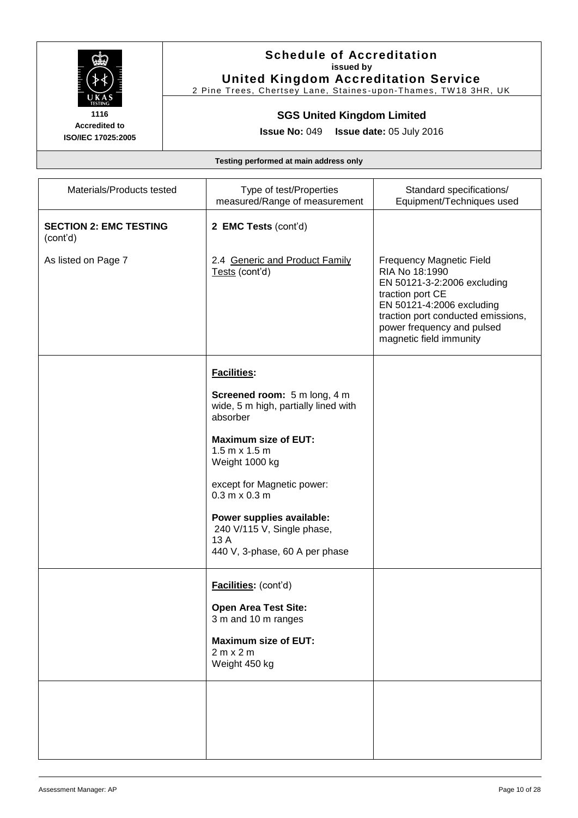

# **Schedule of Accreditation issued by**

**United Kingdom Accreditation Service** 2 Pine Trees, Chertsey Lane, Staines-upon-Thames, TW18 3HR, UK

# **SGS United Kingdom Limited**

**Issue No:** 049 **Issue date:** 05 July 2016

**ISO/IEC 17025:2005**

**Accredited to**

| Materials/Products tested                 | Type of test/Properties<br>measured/Range of measurement                                          | Standard specifications/<br>Equipment/Techniques used                                                                                                                                                                            |
|-------------------------------------------|---------------------------------------------------------------------------------------------------|----------------------------------------------------------------------------------------------------------------------------------------------------------------------------------------------------------------------------------|
| <b>SECTION 2: EMC TESTING</b><br>(cont'd) | 2 EMC Tests (cont'd)                                                                              |                                                                                                                                                                                                                                  |
| As listed on Page 7                       | 2.4 Generic and Product Family<br>Tests (cont'd)                                                  | <b>Frequency Magnetic Field</b><br>RIA No 18:1990<br>EN 50121-3-2:2006 excluding<br>traction port CE<br>EN 50121-4:2006 excluding<br>traction port conducted emissions,<br>power frequency and pulsed<br>magnetic field immunity |
|                                           | Facilities:                                                                                       |                                                                                                                                                                                                                                  |
|                                           | Screened room: 5 m long, 4 m<br>wide, 5 m high, partially lined with<br>absorber                  |                                                                                                                                                                                                                                  |
|                                           | <b>Maximum size of EUT:</b><br>$1.5 m \times 1.5 m$<br>Weight 1000 kg                             |                                                                                                                                                                                                                                  |
|                                           | except for Magnetic power:<br>$0.3 m \times 0.3 m$                                                |                                                                                                                                                                                                                                  |
|                                           | Power supplies available:<br>240 V/115 V, Single phase,<br>13 A<br>440 V, 3-phase, 60 A per phase |                                                                                                                                                                                                                                  |
|                                           | Facilities: (cont'd)                                                                              |                                                                                                                                                                                                                                  |
|                                           | <b>Open Area Test Site:</b><br>3 m and 10 m ranges                                                |                                                                                                                                                                                                                                  |
|                                           | <b>Maximum size of EUT:</b><br>2 m x 2 m<br>Weight 450 kg                                         |                                                                                                                                                                                                                                  |
|                                           |                                                                                                   |                                                                                                                                                                                                                                  |
|                                           |                                                                                                   |                                                                                                                                                                                                                                  |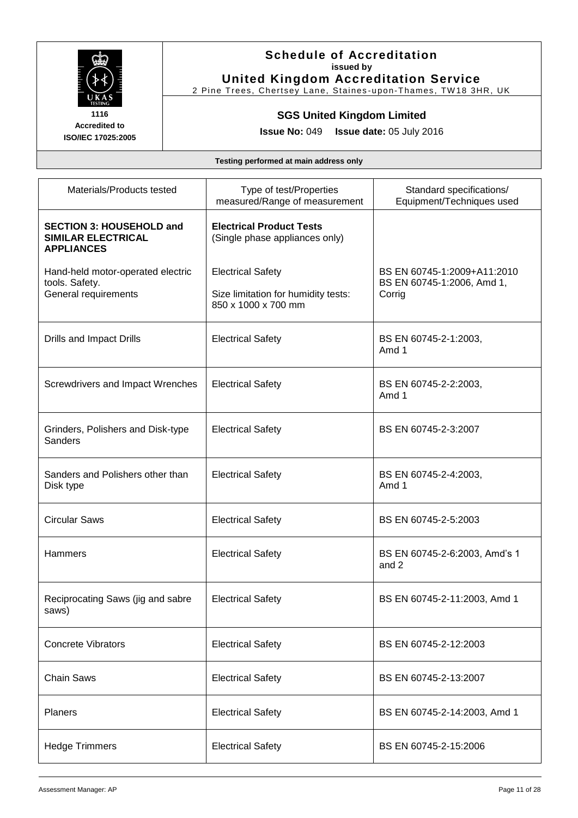

#### **Schedule of Accreditation issued by United Kingdom Accreditation Service**

2 Pine Trees, Chertsey Lane, Staines-upon-Thames, TW18 3HR, UK

# **SGS United Kingdom Limited**

**Issue No:** 049 **Issue date:** 05 July 2016

| Materials/Products tested                                                         | Type of test/Properties<br>measured/Range of measurement                               | Standard specifications/<br>Equipment/Techniques used               |
|-----------------------------------------------------------------------------------|----------------------------------------------------------------------------------------|---------------------------------------------------------------------|
| <b>SECTION 3: HOUSEHOLD and</b><br><b>SIMILAR ELECTRICAL</b><br><b>APPLIANCES</b> | <b>Electrical Product Tests</b><br>(Single phase appliances only)                      |                                                                     |
| Hand-held motor-operated electric<br>tools. Safety.<br>General requirements       | <b>Electrical Safety</b><br>Size limitation for humidity tests:<br>850 x 1000 x 700 mm | BS EN 60745-1:2009+A11:2010<br>BS EN 60745-1:2006, Amd 1,<br>Corrig |
| Drills and Impact Drills                                                          | <b>Electrical Safety</b>                                                               | BS EN 60745-2-1:2003,<br>Amd 1                                      |
| Screwdrivers and Impact Wrenches                                                  | <b>Electrical Safety</b>                                                               | BS EN 60745-2-2:2003,<br>Amd 1                                      |
| Grinders, Polishers and Disk-type<br><b>Sanders</b>                               | <b>Electrical Safety</b>                                                               | BS EN 60745-2-3:2007                                                |
| Sanders and Polishers other than<br>Disk type                                     | <b>Electrical Safety</b>                                                               | BS EN 60745-2-4:2003,<br>Amd 1                                      |
| <b>Circular Saws</b>                                                              | <b>Electrical Safety</b>                                                               | BS EN 60745-2-5:2003                                                |
| Hammers                                                                           | <b>Electrical Safety</b>                                                               | BS EN 60745-2-6:2003, Amd's 1<br>and 2                              |
| Reciprocating Saws (jig and sabre<br>saws)                                        | <b>Electrical Safety</b>                                                               | BS EN 60745-2-11:2003, Amd 1                                        |
| <b>Concrete Vibrators</b>                                                         | <b>Electrical Safety</b>                                                               | BS EN 60745-2-12:2003                                               |
| <b>Chain Saws</b>                                                                 | <b>Electrical Safety</b>                                                               | BS EN 60745-2-13:2007                                               |
| Planers                                                                           | <b>Electrical Safety</b>                                                               | BS EN 60745-2-14:2003, Amd 1                                        |
| <b>Hedge Trimmers</b>                                                             | <b>Electrical Safety</b>                                                               | BS EN 60745-2-15:2006                                               |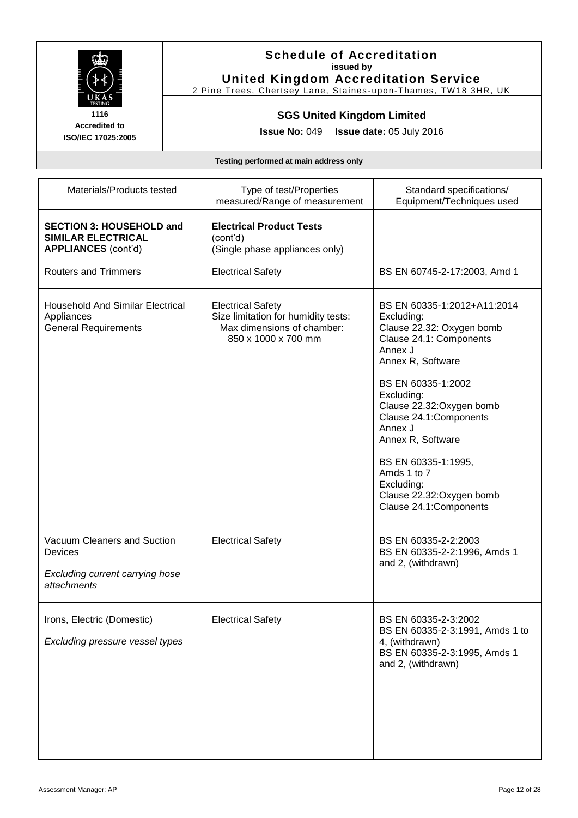

#### **Schedule of Accreditation issued by United Kingdom Accreditation Service**

2 Pine Trees, Chertsey Lane, Staines-upon-Thames, TW18 3HR, UK

# **SGS United Kingdom Limited**

**Issue No:** 049 **Issue date:** 05 July 2016

| Materials/Products tested                                                                                                 | Type of test/Properties<br>measured/Range of measurement                                                             | Standard specifications/<br>Equipment/Techniques used                                                                                                                                                                                                                                                                                                                   |
|---------------------------------------------------------------------------------------------------------------------------|----------------------------------------------------------------------------------------------------------------------|-------------------------------------------------------------------------------------------------------------------------------------------------------------------------------------------------------------------------------------------------------------------------------------------------------------------------------------------------------------------------|
| <b>SECTION 3: HOUSEHOLD and</b><br><b>SIMILAR ELECTRICAL</b><br><b>APPLIANCES (cont'd)</b><br><b>Routers and Trimmers</b> | <b>Electrical Product Tests</b><br>(cont'd)<br>(Single phase appliances only)<br><b>Electrical Safety</b>            | BS EN 60745-2-17:2003, Amd 1                                                                                                                                                                                                                                                                                                                                            |
| <b>Household And Similar Electrical</b><br>Appliances<br><b>General Requirements</b>                                      | <b>Electrical Safety</b><br>Size limitation for humidity tests:<br>Max dimensions of chamber:<br>850 x 1000 x 700 mm | BS EN 60335-1:2012+A11:2014<br>Excluding:<br>Clause 22.32: Oxygen bomb<br>Clause 24.1: Components<br>Annex J<br>Annex R, Software<br>BS EN 60335-1:2002<br>Excluding:<br>Clause 22.32: Oxygen bomb<br>Clause 24.1:Components<br>Annex J<br>Annex R, Software<br>BS EN 60335-1:1995,<br>Amds 1 to 7<br>Excluding:<br>Clause 22.32: Oxygen bomb<br>Clause 24.1:Components |
| Vacuum Cleaners and Suction<br><b>Devices</b><br>Excluding current carrying hose<br>attachments                           | <b>Electrical Safety</b>                                                                                             | BS EN 60335-2-2:2003<br>BS EN 60335-2-2:1996, Amds 1<br>and 2, (withdrawn)                                                                                                                                                                                                                                                                                              |
| Irons, Electric (Domestic)<br>Excluding pressure vessel types                                                             | <b>Electrical Safety</b>                                                                                             | BS EN 60335-2-3:2002<br>BS EN 60335-2-3:1991, Amds 1 to<br>4, (withdrawn)<br>BS EN 60335-2-3:1995, Amds 1<br>and 2, (withdrawn)                                                                                                                                                                                                                                         |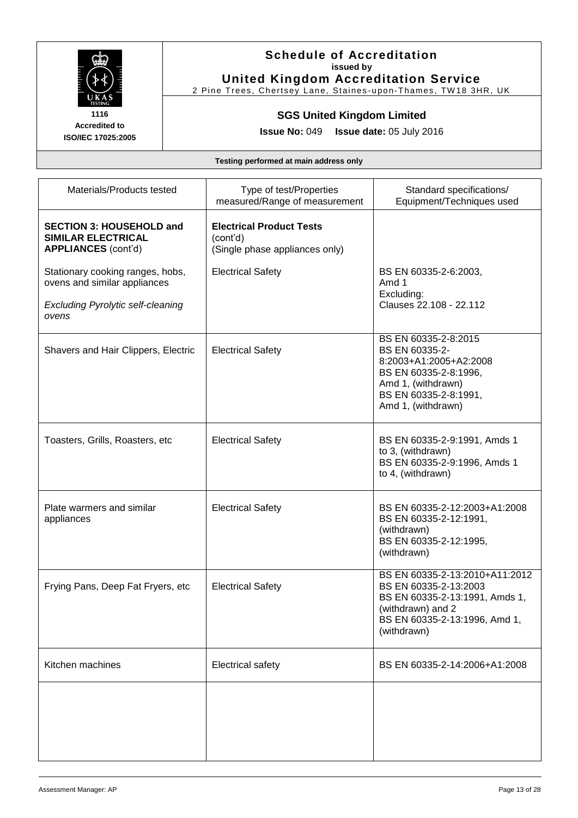

#### **Schedule of Accreditation issued by United Kingdom Accreditation Service**

2 Pine Trees, Chertsey Lane, Staines-upon-Thames, TW18 3HR, UK

# **SGS United Kingdom Limited**

**Issue No:** 049 **Issue date:** 05 July 2016

| Materials/Products tested                                                                                             | Type of test/Properties<br>measured/Range of measurement                      | Standard specifications/<br>Equipment/Techniques used                                                                                                          |
|-----------------------------------------------------------------------------------------------------------------------|-------------------------------------------------------------------------------|----------------------------------------------------------------------------------------------------------------------------------------------------------------|
| <b>SECTION 3: HOUSEHOLD and</b><br>SIMILAR ELECTRICAL<br><b>APPLIANCES</b> (cont'd)                                   | <b>Electrical Product Tests</b><br>(cont'd)<br>(Single phase appliances only) |                                                                                                                                                                |
| Stationary cooking ranges, hobs,<br>ovens and similar appliances<br><b>Excluding Pyrolytic self-cleaning</b><br>ovens | <b>Electrical Safety</b>                                                      | BS EN 60335-2-6:2003,<br>Amd 1<br>Excluding:<br>Clauses 22.108 - 22.112                                                                                        |
| Shavers and Hair Clippers, Electric                                                                                   | <b>Electrical Safety</b>                                                      | BS EN 60335-2-8:2015<br>BS EN 60335-2-<br>8:2003+A1:2005+A2:2008<br>BS EN 60335-2-8:1996,<br>Amd 1, (withdrawn)<br>BS EN 60335-2-8:1991,<br>Amd 1, (withdrawn) |
| Toasters, Grills, Roasters, etc                                                                                       | <b>Electrical Safety</b>                                                      | BS EN 60335-2-9:1991, Amds 1<br>to 3, (withdrawn)<br>BS EN 60335-2-9:1996, Amds 1<br>to 4, (withdrawn)                                                         |
| Plate warmers and similar<br>appliances                                                                               | <b>Electrical Safety</b>                                                      | BS EN 60335-2-12:2003+A1:2008<br>BS EN 60335-2-12:1991,<br>(withdrawn)<br>BS EN 60335-2-12:1995,<br>(withdrawn)                                                |
| Frying Pans, Deep Fat Fryers, etc                                                                                     | <b>Electrical Safety</b>                                                      | BS EN 60335-2-13:2010+A11:2012<br>BS EN 60335-2-13:2003<br>BS EN 60335-2-13:1991, Amds 1,<br>(withdrawn) and 2<br>BS EN 60335-2-13:1996, Amd 1,<br>(withdrawn) |
| Kitchen machines                                                                                                      | <b>Electrical safety</b>                                                      | BS EN 60335-2-14:2006+A1:2008                                                                                                                                  |
|                                                                                                                       |                                                                               |                                                                                                                                                                |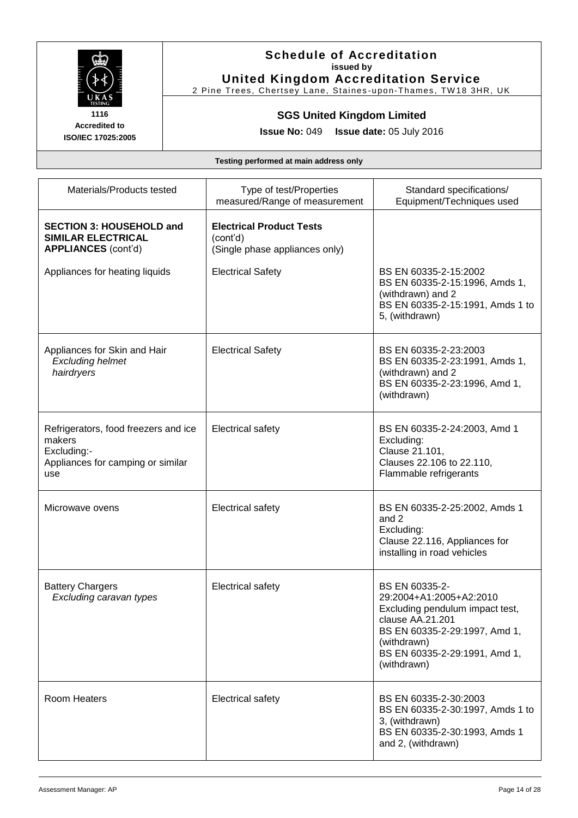

#### **Schedule of Accreditation issued by United Kingdom Accreditation Service**

2 Pine Trees, Chertsey Lane, Staines-upon-Thames, TW18 3HR, UK

# **SGS United Kingdom Limited**

**Issue No:** 049 **Issue date:** 05 July 2016

| Materials/Products tested                                                                                 | Type of test/Properties<br>measured/Range of measurement                      | Standard specifications/<br>Equipment/Techniques used                                                                                                                                            |
|-----------------------------------------------------------------------------------------------------------|-------------------------------------------------------------------------------|--------------------------------------------------------------------------------------------------------------------------------------------------------------------------------------------------|
| <b>SECTION 3: HOUSEHOLD and</b><br>SIMILAR ELECTRICAL<br><b>APPLIANCES (cont'd)</b>                       | <b>Electrical Product Tests</b><br>(cont'd)<br>(Single phase appliances only) |                                                                                                                                                                                                  |
| Appliances for heating liquids                                                                            | <b>Electrical Safety</b>                                                      | BS EN 60335-2-15:2002<br>BS EN 60335-2-15:1996, Amds 1,<br>(withdrawn) and 2<br>BS EN 60335-2-15:1991, Amds 1 to<br>5, (withdrawn)                                                               |
| Appliances for Skin and Hair<br><b>Excluding helmet</b><br>hairdryers                                     | <b>Electrical Safety</b>                                                      | BS EN 60335-2-23:2003<br>BS EN 60335-2-23:1991, Amds 1,<br>(withdrawn) and 2<br>BS EN 60335-2-23:1996, Amd 1,<br>(withdrawn)                                                                     |
| Refrigerators, food freezers and ice<br>makers<br>Excluding:-<br>Appliances for camping or similar<br>use | Electrical safety                                                             | BS EN 60335-2-24:2003, Amd 1<br>Excluding:<br>Clause 21.101,<br>Clauses 22.106 to 22.110,<br>Flammable refrigerants                                                                              |
| Microwave ovens                                                                                           | <b>Electrical safety</b>                                                      | BS EN 60335-2-25:2002, Amds 1<br>and 2<br>Excluding:<br>Clause 22.116, Appliances for<br>installing in road vehicles                                                                             |
| <b>Battery Chargers</b><br>Excluding caravan types                                                        | Electrical safety                                                             | BS EN 60335-2-<br>29:2004+A1:2005+A2:2010<br>Excluding pendulum impact test,<br>clause AA.21.201<br>BS EN 60335-2-29:1997, Amd 1,<br>(withdrawn)<br>BS EN 60335-2-29:1991, Amd 1,<br>(withdrawn) |
| <b>Room Heaters</b>                                                                                       | <b>Electrical safety</b>                                                      | BS EN 60335-2-30:2003<br>BS EN 60335-2-30:1997, Amds 1 to<br>3, (withdrawn)<br>BS EN 60335-2-30:1993, Amds 1<br>and 2, (withdrawn)                                                               |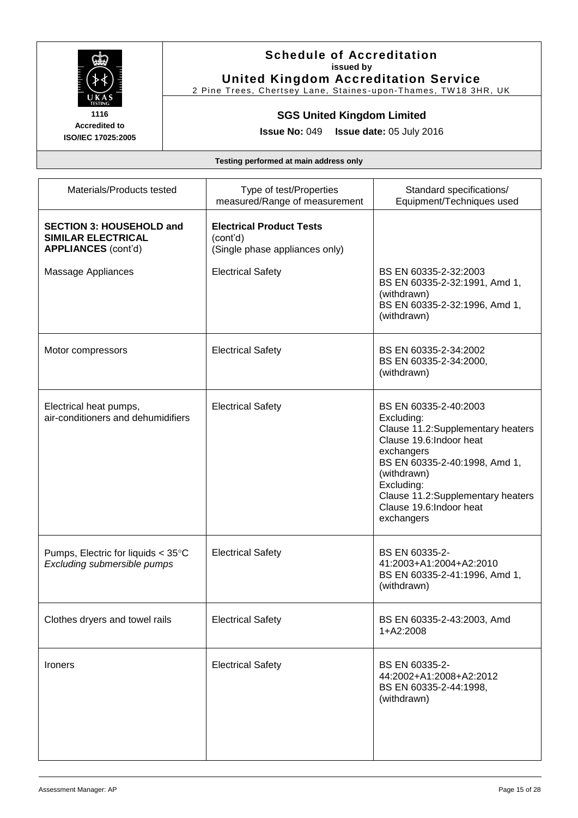

#### **Schedule of Accreditation issued by United Kingdom Accreditation Service**

2 Pine Trees, Chertsey Lane, Staines-upon-Thames, TW18 3HR, UK

# **SGS United Kingdom Limited**

**Issue No:** 049 **Issue date:** 05 July 2016

| Materials/Products tested                                                           | Type of test/Properties<br>measured/Range of measurement                      | Standard specifications/<br>Equipment/Techniques used                                                                                                                                                                                                           |
|-------------------------------------------------------------------------------------|-------------------------------------------------------------------------------|-----------------------------------------------------------------------------------------------------------------------------------------------------------------------------------------------------------------------------------------------------------------|
| <b>SECTION 3: HOUSEHOLD and</b><br>SIMILAR ELECTRICAL<br><b>APPLIANCES (cont'd)</b> | <b>Electrical Product Tests</b><br>(cont'd)<br>(Single phase appliances only) |                                                                                                                                                                                                                                                                 |
| Massage Appliances                                                                  | <b>Electrical Safety</b>                                                      | BS EN 60335-2-32:2003<br>BS EN 60335-2-32:1991, Amd 1,<br>(withdrawn)<br>BS EN 60335-2-32:1996, Amd 1,<br>(withdrawn)                                                                                                                                           |
| Motor compressors                                                                   | <b>Electrical Safety</b>                                                      | BS EN 60335-2-34:2002<br>BS EN 60335-2-34:2000,<br>(withdrawn)                                                                                                                                                                                                  |
| Electrical heat pumps,<br>air-conditioners and dehumidifiers                        | <b>Electrical Safety</b>                                                      | BS EN 60335-2-40:2003<br>Excluding:<br>Clause 11.2:Supplementary heaters<br>Clause 19.6: Indoor heat<br>exchangers<br>BS EN 60335-2-40:1998, Amd 1,<br>(withdrawn)<br>Excluding:<br>Clause 11.2:Supplementary heaters<br>Clause 19.6: Indoor heat<br>exchangers |
| Pumps, Electric for liquids $<$ 35 $\degree$ C<br>Excluding submersible pumps       | <b>Electrical Safety</b>                                                      | BS EN 60335-2-<br>41:2003+A1:2004+A2:2010<br>BS EN 60335-2-41:1996, Amd 1,<br>(withdrawn)                                                                                                                                                                       |
| Clothes dryers and towel rails                                                      | <b>Electrical Safety</b>                                                      | BS EN 60335-2-43:2003, Amd<br>1+A2:2008                                                                                                                                                                                                                         |
| Ironers                                                                             | <b>Electrical Safety</b>                                                      | BS EN 60335-2-<br>44:2002+A1:2008+A2:2012<br>BS EN 60335-2-44:1998,<br>(withdrawn)                                                                                                                                                                              |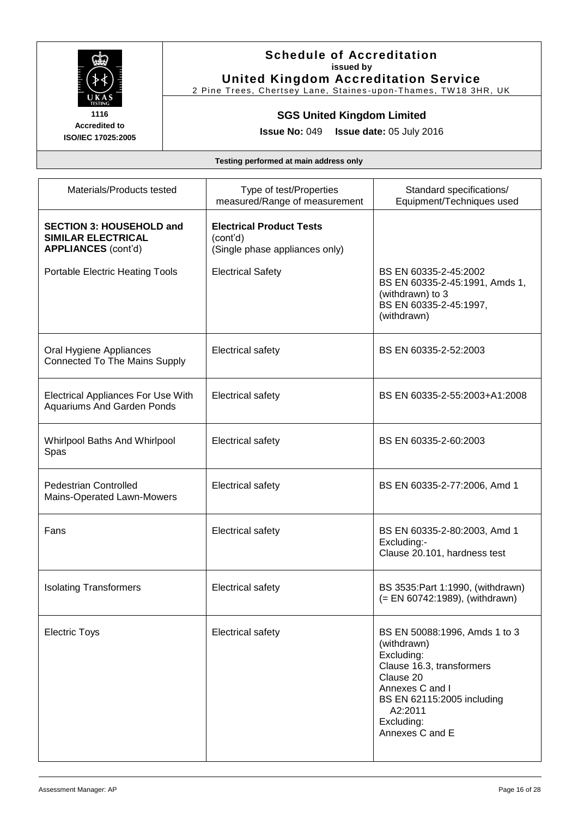

#### **Schedule of Accreditation issued by United Kingdom Accreditation Service**

2 Pine Trees, Chertsey Lane, Staines-upon-Thames, TW18 3HR, UK

# **SGS United Kingdom Limited**

**Issue No:** 049 **Issue date:** 05 July 2016

| Materials/Products tested                                                           | Type of test/Properties<br>measured/Range of measurement                      | Standard specifications/<br>Equipment/Techniques used                                                                                                                                             |
|-------------------------------------------------------------------------------------|-------------------------------------------------------------------------------|---------------------------------------------------------------------------------------------------------------------------------------------------------------------------------------------------|
| <b>SECTION 3: HOUSEHOLD and</b><br>SIMILAR ELECTRICAL<br><b>APPLIANCES</b> (cont'd) | <b>Electrical Product Tests</b><br>(cont'd)<br>(Single phase appliances only) |                                                                                                                                                                                                   |
| Portable Electric Heating Tools                                                     | <b>Electrical Safety</b>                                                      | BS EN 60335-2-45:2002<br>BS EN 60335-2-45:1991, Amds 1,<br>(withdrawn) to 3<br>BS EN 60335-2-45:1997,<br>(withdrawn)                                                                              |
| Oral Hygiene Appliances<br><b>Connected To The Mains Supply</b>                     | <b>Electrical safety</b>                                                      | BS EN 60335-2-52:2003                                                                                                                                                                             |
| <b>Electrical Appliances For Use With</b><br><b>Aquariums And Garden Ponds</b>      | Electrical safety                                                             | BS EN 60335-2-55:2003+A1:2008                                                                                                                                                                     |
| Whirlpool Baths And Whirlpool<br>Spas                                               | Electrical safety                                                             | BS EN 60335-2-60:2003                                                                                                                                                                             |
| <b>Pedestrian Controlled</b><br>Mains-Operated Lawn-Mowers                          | <b>Electrical safety</b>                                                      | BS EN 60335-2-77:2006, Amd 1                                                                                                                                                                      |
| Fans                                                                                | <b>Electrical safety</b>                                                      | BS EN 60335-2-80:2003, Amd 1<br>Excluding:-<br>Clause 20.101, hardness test                                                                                                                       |
| <b>Isolating Transformers</b>                                                       | Electrical safety                                                             | BS 3535: Part 1:1990, (withdrawn)<br>(= EN 60742:1989), (withdrawn)                                                                                                                               |
| <b>Electric Toys</b>                                                                | <b>Electrical safety</b>                                                      | BS EN 50088:1996, Amds 1 to 3<br>(withdrawn)<br>Excluding:<br>Clause 16.3, transformers<br>Clause 20<br>Annexes C and I<br>BS EN 62115:2005 including<br>A2:2011<br>Excluding:<br>Annexes C and E |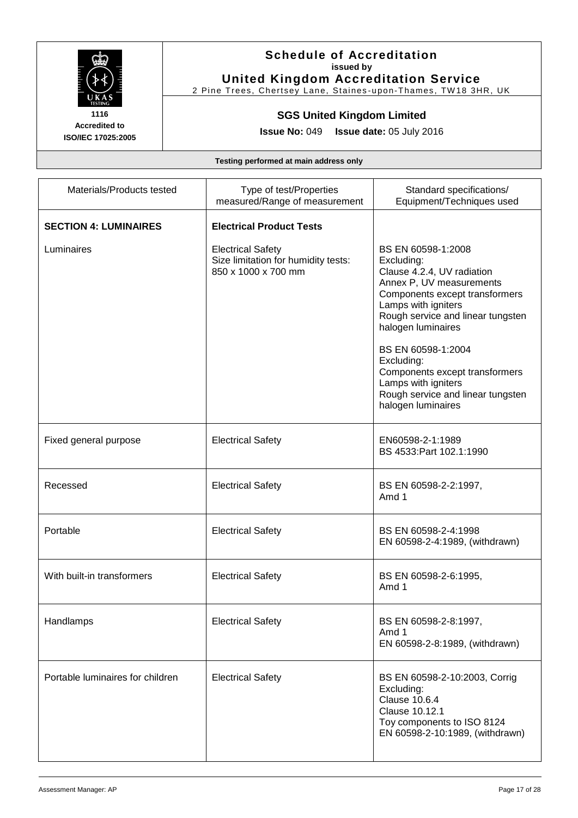

#### **Schedule of Accreditation issued by United Kingdom Accreditation Service**

2 Pine Trees, Chertsey Lane, Staines-upon-Thames, TW18 3HR, UK

# **SGS United Kingdom Limited**

**Issue No:** 049 **Issue date:** 05 July 2016

| Materials/Products tested        | Type of test/Properties<br>measured/Range of measurement                               | Standard specifications/<br>Equipment/Techniques used                                                                                                                                                                                                                                                                                                                  |
|----------------------------------|----------------------------------------------------------------------------------------|------------------------------------------------------------------------------------------------------------------------------------------------------------------------------------------------------------------------------------------------------------------------------------------------------------------------------------------------------------------------|
| <b>SECTION 4: LUMINAIRES</b>     | <b>Electrical Product Tests</b>                                                        |                                                                                                                                                                                                                                                                                                                                                                        |
| Luminaires                       | <b>Electrical Safety</b><br>Size limitation for humidity tests:<br>850 x 1000 x 700 mm | BS EN 60598-1:2008<br>Excluding:<br>Clause 4.2.4, UV radiation<br>Annex P, UV measurements<br>Components except transformers<br>Lamps with igniters<br>Rough service and linear tungsten<br>halogen luminaires<br>BS EN 60598-1:2004<br>Excluding:<br>Components except transformers<br>Lamps with igniters<br>Rough service and linear tungsten<br>halogen luminaires |
| Fixed general purpose            | <b>Electrical Safety</b>                                                               | EN60598-2-1:1989<br>BS 4533: Part 102.1:1990                                                                                                                                                                                                                                                                                                                           |
| Recessed                         | <b>Electrical Safety</b>                                                               | BS EN 60598-2-2:1997,<br>Amd 1                                                                                                                                                                                                                                                                                                                                         |
| Portable                         | <b>Electrical Safety</b>                                                               | BS EN 60598-2-4:1998<br>EN 60598-2-4:1989, (withdrawn)                                                                                                                                                                                                                                                                                                                 |
| With built-in transformers       | <b>Electrical Safety</b>                                                               | BS EN 60598-2-6:1995,<br>Amd 1                                                                                                                                                                                                                                                                                                                                         |
| Handlamps                        | <b>Electrical Safety</b>                                                               | BS EN 60598-2-8:1997,<br>Amd 1<br>EN 60598-2-8:1989, (withdrawn)                                                                                                                                                                                                                                                                                                       |
| Portable luminaires for children | <b>Electrical Safety</b>                                                               | BS EN 60598-2-10:2003, Corrig<br>Excluding:<br><b>Clause 10.6.4</b><br>Clause 10.12.1<br>Toy components to ISO 8124<br>EN 60598-2-10:1989, (withdrawn)                                                                                                                                                                                                                 |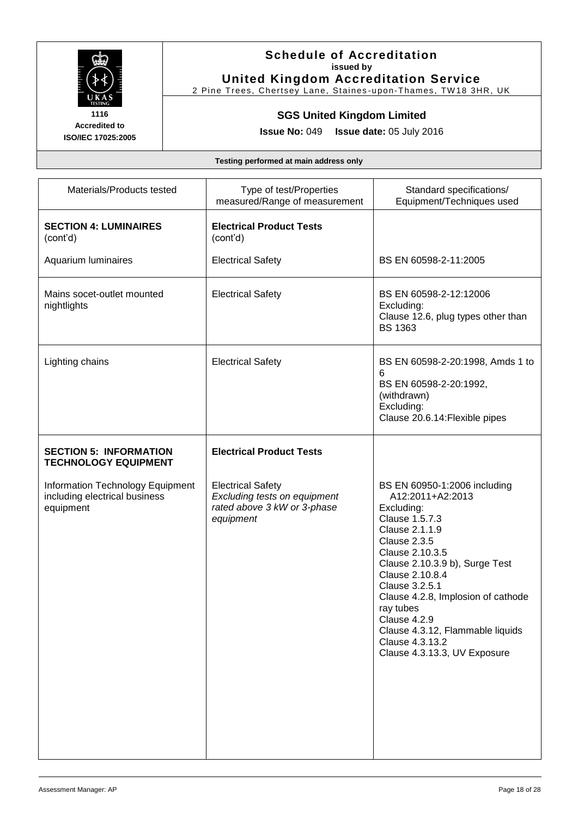

# **Schedule of Accreditation issued by**

**United Kingdom Accreditation Service** 2 Pine Trees, Chertsey Lane, Staines-upon-Thames, TW18 3HR, UK

# **SGS United Kingdom Limited**

**Issue No:** 049 **Issue date:** 05 July 2016

| Materials/Products tested                                                      | Type of test/Properties<br>measured/Range of measurement                                             | Standard specifications/<br>Equipment/Techniques used                                                                                                                                                                                                                                                                                                                  |
|--------------------------------------------------------------------------------|------------------------------------------------------------------------------------------------------|------------------------------------------------------------------------------------------------------------------------------------------------------------------------------------------------------------------------------------------------------------------------------------------------------------------------------------------------------------------------|
| <b>SECTION 4: LUMINAIRES</b><br>(cont'd)                                       | <b>Electrical Product Tests</b><br>(cont'd)                                                          |                                                                                                                                                                                                                                                                                                                                                                        |
| Aquarium luminaires                                                            | <b>Electrical Safety</b>                                                                             | BS EN 60598-2-11:2005                                                                                                                                                                                                                                                                                                                                                  |
| Mains socet-outlet mounted<br>nightlights                                      | <b>Electrical Safety</b>                                                                             | BS EN 60598-2-12:12006<br>Excluding:<br>Clause 12.6, plug types other than<br><b>BS 1363</b>                                                                                                                                                                                                                                                                           |
| Lighting chains                                                                | <b>Electrical Safety</b>                                                                             | BS EN 60598-2-20:1998, Amds 1 to<br>6<br>BS EN 60598-2-20:1992,<br>(withdrawn)<br>Excluding:<br>Clause 20.6.14: Flexible pipes                                                                                                                                                                                                                                         |
| <b>SECTION 5: INFORMATION</b><br><b>TECHNOLOGY EQUIPMENT</b>                   | <b>Electrical Product Tests</b>                                                                      |                                                                                                                                                                                                                                                                                                                                                                        |
| Information Technology Equipment<br>including electrical business<br>equipment | <b>Electrical Safety</b><br>Excluding tests on equipment<br>rated above 3 kW or 3-phase<br>equipment | BS EN 60950-1:2006 including<br>A12:2011+A2:2013<br>Excluding:<br>Clause 1.5.7.3<br>Clause 2.1.1.9<br>Clause 2.3.5<br>Clause 2.10.3.5<br>Clause 2.10.3.9 b), Surge Test<br>Clause 2.10.8.4<br>Clause 3.2.5.1<br>Clause 4.2.8, Implosion of cathode<br>ray tubes<br>Clause 4.2.9<br>Clause 4.3.12, Flammable liquids<br>Clause 4.3.13.2<br>Clause 4.3.13.3, UV Exposure |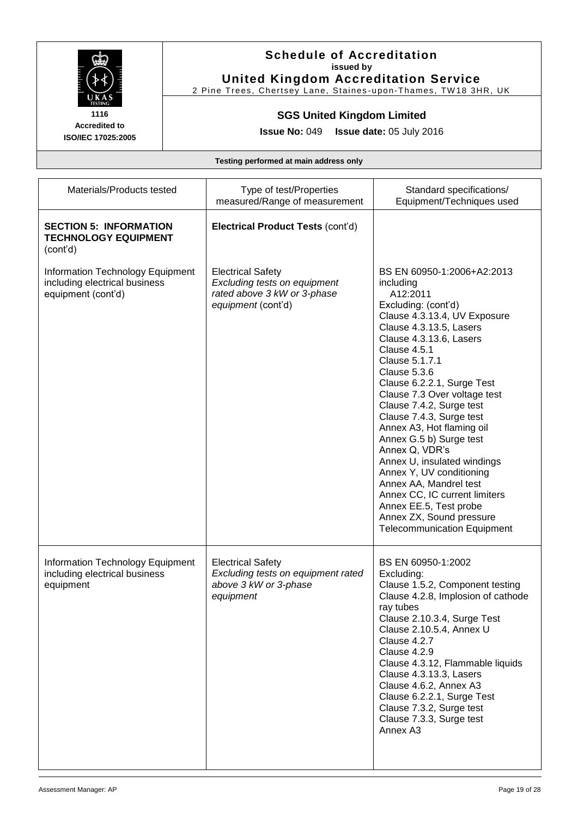

#### **Schedule of Accreditation issued by United Kingdom Accreditation Service**

2 Pine Trees, Chertsey Lane, Staines-upon-Thames, TW18 3HR, UK

#### **SGS United Kingdom Limited**

**Issue No:** 049 **Issue date:** 05 July 2016

**Accredited to ISO/IEC 17025:2005**

| Materials/Products tested                                                               | Type of test/Properties<br>measured/Range of measurement                                                      | Standard specifications/<br>Equipment/Techniques used                                                                                                                                                                                                                                                                                                                                                                                                                                                                                                                                                                                |
|-----------------------------------------------------------------------------------------|---------------------------------------------------------------------------------------------------------------|--------------------------------------------------------------------------------------------------------------------------------------------------------------------------------------------------------------------------------------------------------------------------------------------------------------------------------------------------------------------------------------------------------------------------------------------------------------------------------------------------------------------------------------------------------------------------------------------------------------------------------------|
| <b>SECTION 5: INFORMATION</b><br><b>TECHNOLOGY EQUIPMENT</b><br>(cont'd)                | <b>Electrical Product Tests (cont'd)</b>                                                                      |                                                                                                                                                                                                                                                                                                                                                                                                                                                                                                                                                                                                                                      |
| Information Technology Equipment<br>including electrical business<br>equipment (cont'd) | <b>Electrical Safety</b><br>Excluding tests on equipment<br>rated above 3 kW or 3-phase<br>equipment (cont'd) | BS EN 60950-1:2006+A2:2013<br>including<br>A12:2011<br>Excluding: (cont'd)<br>Clause 4.3.13.4, UV Exposure<br>Clause 4.3.13.5, Lasers<br>Clause 4.3.13.6, Lasers<br>Clause 4.5.1<br>Clause 5.1.7.1<br>Clause 5.3.6<br>Clause 6.2.2.1, Surge Test<br>Clause 7.3 Over voltage test<br>Clause 7.4.2, Surge test<br>Clause 7.4.3, Surge test<br>Annex A3, Hot flaming oil<br>Annex G.5 b) Surge test<br>Annex Q, VDR's<br>Annex U, insulated windings<br>Annex Y, UV conditioning<br>Annex AA, Mandrel test<br>Annex CC, IC current limiters<br>Annex EE.5, Test probe<br>Annex ZX, Sound pressure<br><b>Telecommunication Equipment</b> |
| Information Technology Equipment<br>including electrical business<br>equipment          | <b>Electrical Safety</b><br>Excluding tests on equipment rated<br>above 3 kW or 3-phase<br>equipment          | BS EN 60950-1:2002<br>Excluding:<br>Clause 1.5.2, Component testing<br>Clause 4.2.8, Implosion of cathode<br>ray tubes<br>Clause 2.10.3.4, Surge Test<br>Clause 2.10.5.4, Annex U<br>Clause 4.2.7<br>Clause 4.2.9<br>Clause 4.3.12, Flammable liquids<br>Clause 4.3.13.3, Lasers<br>Clause 4.6.2, Annex A3<br>Clause 6.2.2.1, Surge Test<br>Clause 7.3.2, Surge test<br>Clause 7.3.3, Surge test<br>Annex A3                                                                                                                                                                                                                         |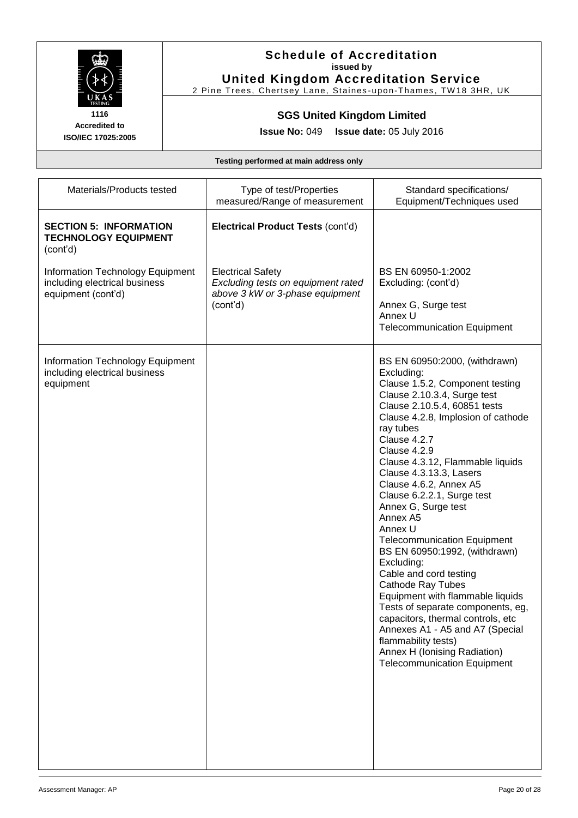

#### **Schedule of Accreditation issued by United Kingdom Accreditation Service**

2 Pine Trees, Chertsey Lane, Staines-upon-Thames, TW18 3HR, UK

#### **SGS United Kingdom Limited**

**Issue No:** 049 **Issue date:** 05 July 2016

| Materials/Products tested                                                               | Type of test/Properties<br>measured/Range of measurement                                                      | Standard specifications/<br>Equipment/Techniques used                                                                                                                                                                                                                                                                                                                                                                                                                                                                                                                                                                                                                                                                                                                                          |
|-----------------------------------------------------------------------------------------|---------------------------------------------------------------------------------------------------------------|------------------------------------------------------------------------------------------------------------------------------------------------------------------------------------------------------------------------------------------------------------------------------------------------------------------------------------------------------------------------------------------------------------------------------------------------------------------------------------------------------------------------------------------------------------------------------------------------------------------------------------------------------------------------------------------------------------------------------------------------------------------------------------------------|
| <b>SECTION 5: INFORMATION</b><br><b>TECHNOLOGY EQUIPMENT</b><br>(cont'd)                | Electrical Product Tests (cont'd)                                                                             |                                                                                                                                                                                                                                                                                                                                                                                                                                                                                                                                                                                                                                                                                                                                                                                                |
| Information Technology Equipment<br>including electrical business<br>equipment (cont'd) | <b>Electrical Safety</b><br>Excluding tests on equipment rated<br>above 3 kW or 3-phase equipment<br>(cont'd) | BS EN 60950-1:2002<br>Excluding: (cont'd)<br>Annex G, Surge test<br>Annex U<br><b>Telecommunication Equipment</b>                                                                                                                                                                                                                                                                                                                                                                                                                                                                                                                                                                                                                                                                              |
| Information Technology Equipment<br>including electrical business<br>equipment          |                                                                                                               | BS EN 60950:2000, (withdrawn)<br>Excluding:<br>Clause 1.5.2, Component testing<br>Clause 2.10.3.4, Surge test<br>Clause 2.10.5.4, 60851 tests<br>Clause 4.2.8, Implosion of cathode<br>ray tubes<br>Clause 4.2.7<br>Clause 4.2.9<br>Clause 4.3.12, Flammable liquids<br>Clause 4.3.13.3, Lasers<br>Clause 4.6.2, Annex A5<br>Clause 6.2.2.1, Surge test<br>Annex G, Surge test<br>Annex A5<br>Annex U<br><b>Telecommunication Equipment</b><br>BS EN 60950:1992, (withdrawn)<br>Excluding:<br>Cable and cord testing<br><b>Cathode Ray Tubes</b><br>Equipment with flammable liquids<br>Tests of separate components, eg,<br>capacitors, thermal controls, etc<br>Annexes A1 - A5 and A7 (Special<br>flammability tests)<br>Annex H (Ionising Radiation)<br><b>Telecommunication Equipment</b> |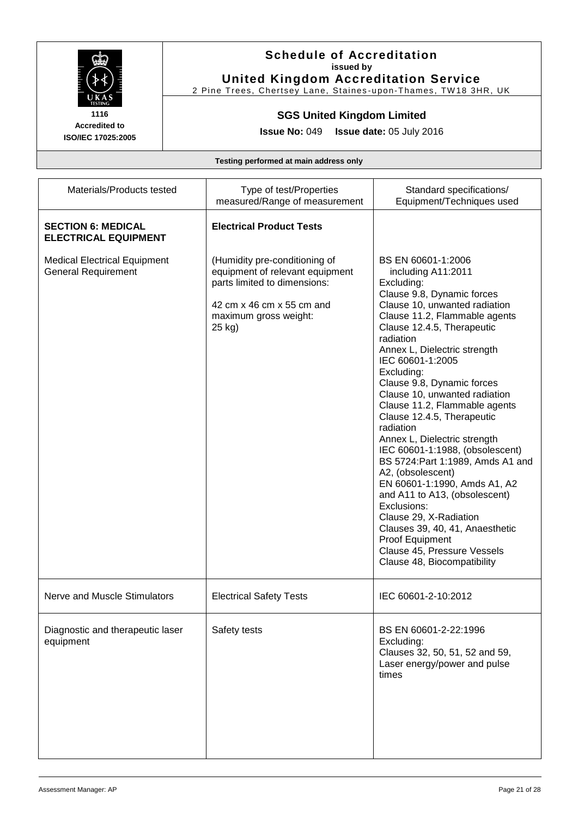

#### **Schedule of Accreditation issued by United Kingdom Accreditation Service**

2 Pine Trees, Chertsey Lane, Staines-upon-Thames, TW18 3HR, UK

# **SGS United Kingdom Limited**

**Issue No:** 049 **Issue date:** 05 July 2016

| Materials/Products tested                                         | Type of test/Properties<br>measured/Range of measurement                                                                                                         | Standard specifications/<br>Equipment/Techniques used                                                                                                                                                                                                                                                                                                                                                                                                                                                                                                                                                                                                                                                                                                                     |
|-------------------------------------------------------------------|------------------------------------------------------------------------------------------------------------------------------------------------------------------|---------------------------------------------------------------------------------------------------------------------------------------------------------------------------------------------------------------------------------------------------------------------------------------------------------------------------------------------------------------------------------------------------------------------------------------------------------------------------------------------------------------------------------------------------------------------------------------------------------------------------------------------------------------------------------------------------------------------------------------------------------------------------|
| <b>SECTION 6: MEDICAL</b><br><b>ELECTRICAL EQUIPMENT</b>          | <b>Electrical Product Tests</b>                                                                                                                                  |                                                                                                                                                                                                                                                                                                                                                                                                                                                                                                                                                                                                                                                                                                                                                                           |
| <b>Medical Electrical Equipment</b><br><b>General Requirement</b> | (Humidity pre-conditioning of<br>equipment of relevant equipment<br>parts limited to dimensions:<br>42 cm x 46 cm x 55 cm and<br>maximum gross weight:<br>25 kg) | BS EN 60601-1:2006<br>including A11:2011<br>Excluding:<br>Clause 9.8, Dynamic forces<br>Clause 10, unwanted radiation<br>Clause 11.2, Flammable agents<br>Clause 12.4.5, Therapeutic<br>radiation<br>Annex L, Dielectric strength<br>IEC 60601-1:2005<br>Excluding:<br>Clause 9.8, Dynamic forces<br>Clause 10, unwanted radiation<br>Clause 11.2, Flammable agents<br>Clause 12.4.5, Therapeutic<br>radiation<br>Annex L, Dielectric strength<br>IEC 60601-1:1988, (obsolescent)<br>BS 5724: Part 1:1989, Amds A1 and<br>A2, (obsolescent)<br>EN 60601-1:1990, Amds A1, A2<br>and A11 to A13, (obsolescent)<br>Exclusions:<br>Clause 29, X-Radiation<br>Clauses 39, 40, 41, Anaesthetic<br>Proof Equipment<br>Clause 45, Pressure Vessels<br>Clause 48, Biocompatibility |
| Nerve and Muscle Stimulators                                      | <b>Electrical Safety Tests</b>                                                                                                                                   | IEC 60601-2-10:2012                                                                                                                                                                                                                                                                                                                                                                                                                                                                                                                                                                                                                                                                                                                                                       |
| Diagnostic and therapeutic laser<br>equipment                     | Safety tests                                                                                                                                                     | BS EN 60601-2-22:1996<br>Excluding:<br>Clauses 32, 50, 51, 52 and 59,<br>Laser energy/power and pulse<br>times                                                                                                                                                                                                                                                                                                                                                                                                                                                                                                                                                                                                                                                            |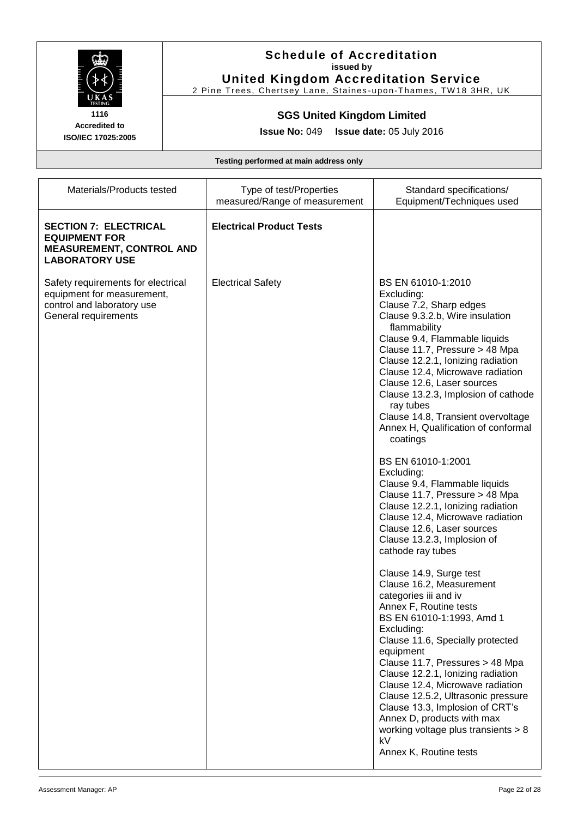

#### **Schedule of Accreditation issued by United Kingdom Accreditation Service**

2 Pine Trees, Chertsey Lane, Staines-upon-Thames, TW18 3HR, UK

# **SGS United Kingdom Limited**

**Issue No:** 049 **Issue date:** 05 July 2016

| Materials/Products tested                                                                                              | Type of test/Properties<br>measured/Range of measurement | Standard specifications/<br>Equipment/Techniques used                                                                                                                                                                                                                                                                                                                                                                                                                                                                                                                                                                                                                                                                                                                                                                                                                                                                                                                                                                                                                                                                                                                                                     |
|------------------------------------------------------------------------------------------------------------------------|----------------------------------------------------------|-----------------------------------------------------------------------------------------------------------------------------------------------------------------------------------------------------------------------------------------------------------------------------------------------------------------------------------------------------------------------------------------------------------------------------------------------------------------------------------------------------------------------------------------------------------------------------------------------------------------------------------------------------------------------------------------------------------------------------------------------------------------------------------------------------------------------------------------------------------------------------------------------------------------------------------------------------------------------------------------------------------------------------------------------------------------------------------------------------------------------------------------------------------------------------------------------------------|
| <b>SECTION 7: ELECTRICAL</b><br><b>EQUIPMENT FOR</b><br><b>MEASUREMENT, CONTROL AND</b><br><b>LABORATORY USE</b>       | <b>Electrical Product Tests</b>                          |                                                                                                                                                                                                                                                                                                                                                                                                                                                                                                                                                                                                                                                                                                                                                                                                                                                                                                                                                                                                                                                                                                                                                                                                           |
| Safety requirements for electrical<br>equipment for measurement,<br>control and laboratory use<br>General requirements | <b>Electrical Safety</b>                                 | BS EN 61010-1:2010<br>Excluding:<br>Clause 7.2, Sharp edges<br>Clause 9.3.2.b, Wire insulation<br>flammability<br>Clause 9.4, Flammable liquids<br>Clause 11.7, Pressure > 48 Mpa<br>Clause 12.2.1, lonizing radiation<br>Clause 12.4, Microwave radiation<br>Clause 12.6, Laser sources<br>Clause 13.2.3, Implosion of cathode<br>ray tubes<br>Clause 14.8, Transient overvoltage<br>Annex H, Qualification of conformal<br>coatings<br>BS EN 61010-1:2001<br>Excluding:<br>Clause 9.4, Flammable liquids<br>Clause 11.7, Pressure > 48 Mpa<br>Clause 12.2.1, Ionizing radiation<br>Clause 12.4, Microwave radiation<br>Clause 12.6, Laser sources<br>Clause 13.2.3, Implosion of<br>cathode ray tubes<br>Clause 14.9, Surge test<br>Clause 16.2, Measurement<br>categories iii and iv<br>Annex F, Routine tests<br>BS EN 61010-1:1993, Amd 1<br>Excluding:<br>Clause 11.6, Specially protected<br>equipment<br>Clause 11.7, Pressures > 48 Mpa<br>Clause 12.2.1, lonizing radiation<br>Clause 12.4, Microwave radiation<br>Clause 12.5.2, Ultrasonic pressure<br>Clause 13.3, Implosion of CRT's<br>Annex D, products with max<br>working voltage plus transients $> 8$<br>kV<br>Annex K, Routine tests |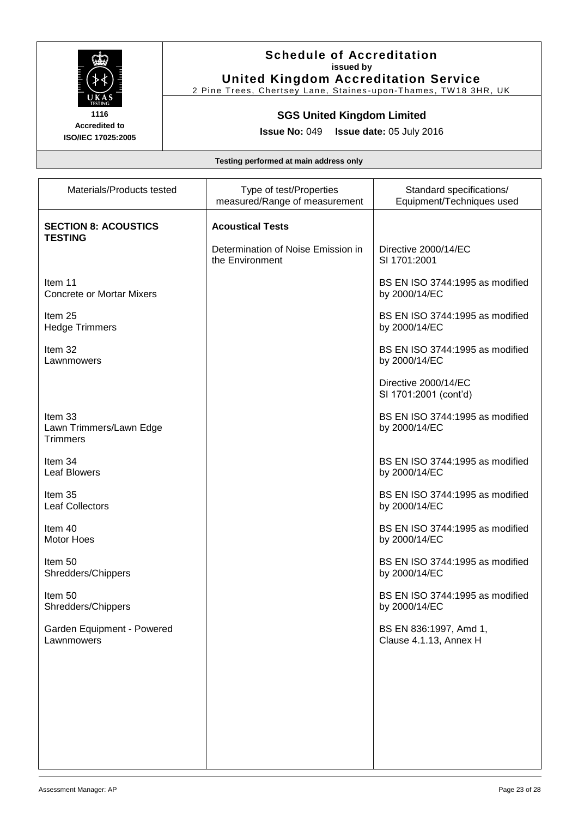

#### **Schedule of Accreditation issued by United Kingdom Accreditation Service**

2 Pine Trees, Chertsey Lane, Staines-upon-Thames, TW18 3HR, UK

# **SGS United Kingdom Limited**

**Issue No:** 049 **Issue date:** 05 July 2016

| Materials/Products tested                             | Type of test/Properties<br>measured/Range of measurement | Standard specifications/<br>Equipment/Techniques used |
|-------------------------------------------------------|----------------------------------------------------------|-------------------------------------------------------|
| <b>SECTION 8: ACOUSTICS</b><br><b>TESTING</b>         | <b>Acoustical Tests</b>                                  |                                                       |
|                                                       | Determination of Noise Emission in<br>the Environment    | Directive 2000/14/EC<br>SI 1701:2001                  |
| Item 11<br><b>Concrete or Mortar Mixers</b>           |                                                          | BS EN ISO 3744:1995 as modified<br>by 2000/14/EC      |
| Item 25<br><b>Hedge Trimmers</b>                      |                                                          | BS EN ISO 3744:1995 as modified<br>by 2000/14/EC      |
| Item 32<br>Lawnmowers                                 |                                                          | BS EN ISO 3744:1995 as modified<br>by 2000/14/EC      |
|                                                       |                                                          | Directive 2000/14/EC<br>SI 1701:2001 (cont'd)         |
| Item 33<br>Lawn Trimmers/Lawn Edge<br><b>Trimmers</b> |                                                          | BS EN ISO 3744:1995 as modified<br>by 2000/14/EC      |
| Item 34<br><b>Leaf Blowers</b>                        |                                                          | BS EN ISO 3744:1995 as modified<br>by 2000/14/EC      |
| Item 35<br><b>Leaf Collectors</b>                     |                                                          | BS EN ISO 3744:1995 as modified<br>by 2000/14/EC      |
| Item 40<br>Motor Hoes                                 |                                                          | BS EN ISO 3744:1995 as modified<br>by 2000/14/EC      |
| Item 50<br>Shredders/Chippers                         |                                                          | BS EN ISO 3744:1995 as modified<br>by 2000/14/EC      |
| Item 50<br>Shredders/Chippers                         |                                                          | BS EN ISO 3744:1995 as modified<br>by 2000/14/EC      |
| Garden Equipment - Powered<br>Lawnmowers              |                                                          | BS EN 836:1997, Amd 1,<br>Clause 4.1.13, Annex H      |
|                                                       |                                                          |                                                       |
|                                                       |                                                          |                                                       |
|                                                       |                                                          |                                                       |
|                                                       |                                                          |                                                       |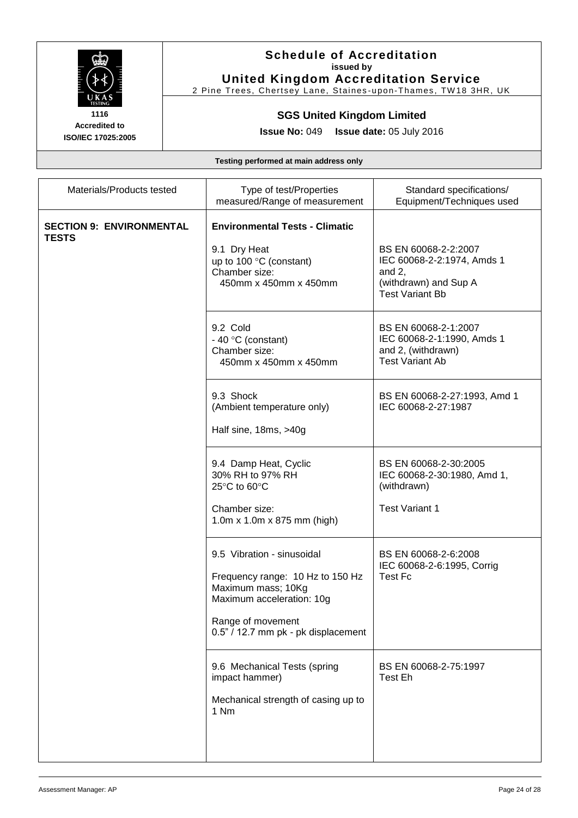

# **Schedule of Accreditation issued by**

**United Kingdom Accreditation Service** 2 Pine Trees, Chertsey Lane, Staines-upon-Thames, TW18 3HR, UK

# **SGS United Kingdom Limited**

**Issue No:** 049 **Issue date:** 05 July 2016

| Materials/Products tested                       | Type of test/Properties<br>measured/Range of measurement                                                                                                                      | Standard specifications/<br>Equipment/Techniques used                                                              |
|-------------------------------------------------|-------------------------------------------------------------------------------------------------------------------------------------------------------------------------------|--------------------------------------------------------------------------------------------------------------------|
| <b>SECTION 9: ENVIRONMENTAL</b><br><b>TESTS</b> | <b>Environmental Tests - Climatic</b><br>9.1 Dry Heat<br>up to 100 $\degree$ C (constant)<br>Chamber size:<br>450mm x 450mm x 450mm                                           | BS EN 60068-2-2:2007<br>IEC 60068-2-2:1974, Amds 1<br>and $2$ ,<br>(withdrawn) and Sup A<br><b>Test Variant Bb</b> |
|                                                 | 9.2 Cold<br>- 40 $\degree$ C (constant)<br>Chamber size:<br>450mm x 450mm x 450mm                                                                                             | BS EN 60068-2-1:2007<br>IEC 60068-2-1:1990, Amds 1<br>and 2, (withdrawn)<br><b>Test Variant Ab</b>                 |
|                                                 | 9.3 Shock<br>(Ambient temperature only)<br>Half sine, 18ms, >40g                                                                                                              | BS EN 60068-2-27:1993, Amd 1<br>IEC 60068-2-27:1987                                                                |
|                                                 | 9.4 Damp Heat, Cyclic<br>30% RH to 97% RH<br>25°C to 60°C<br>Chamber size:                                                                                                    | BS EN 60068-2-30:2005<br>IEC 60068-2-30:1980, Amd 1,<br>(withdrawn)<br><b>Test Variant 1</b>                       |
|                                                 | 1.0m x 1.0m x 875 mm (high)                                                                                                                                                   |                                                                                                                    |
|                                                 | 9.5 Vibration - sinusoidal<br>Frequency range: 10 Hz to 150 Hz<br>Maximum mass; 10Kg<br>Maximum acceleration: 10g<br>Range of movement<br>0.5" / 12.7 mm pk - pk displacement | BS EN 60068-2-6:2008<br>IEC 60068-2-6:1995, Corrig<br><b>Test Fc</b>                                               |
|                                                 | 9.6 Mechanical Tests (spring<br>impact hammer)<br>Mechanical strength of casing up to<br>1 Nm                                                                                 | BS EN 60068-2-75:1997<br>Test Eh                                                                                   |
|                                                 |                                                                                                                                                                               |                                                                                                                    |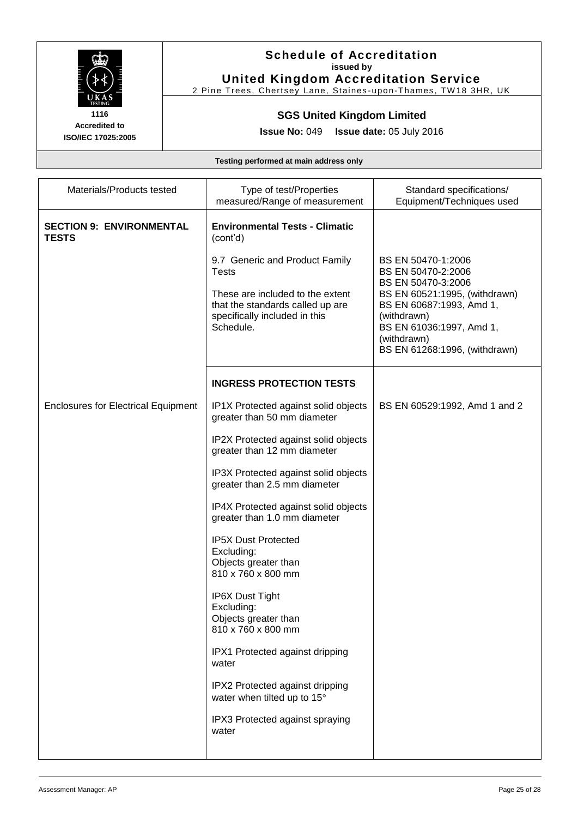

# **Schedule of Accreditation issued by**

**United Kingdom Accreditation Service** 2 Pine Trees, Chertsey Lane, Staines-upon-Thames, TW18 3HR, UK

# **SGS United Kingdom Limited**

**Issue No:** 049 **Issue date:** 05 July 2016

| Materials/Products tested                       | Type of test/Properties<br>measured/Range of measurement                                                                                                             | Standard specifications/<br>Equipment/Techniques used                                                                                                                                                                  |
|-------------------------------------------------|----------------------------------------------------------------------------------------------------------------------------------------------------------------------|------------------------------------------------------------------------------------------------------------------------------------------------------------------------------------------------------------------------|
| <b>SECTION 9: ENVIRONMENTAL</b><br><b>TESTS</b> | <b>Environmental Tests - Climatic</b><br>(cont'd)                                                                                                                    |                                                                                                                                                                                                                        |
|                                                 | 9.7 Generic and Product Family<br><b>Tests</b><br>These are included to the extent<br>that the standards called up are<br>specifically included in this<br>Schedule. | BS EN 50470-1:2006<br>BS EN 50470-2:2006<br>BS EN 50470-3:2006<br>BS EN 60521:1995, (withdrawn)<br>BS EN 60687:1993, Amd 1,<br>(withdrawn)<br>BS EN 61036:1997, Amd 1,<br>(withdrawn)<br>BS EN 61268:1996, (withdrawn) |
|                                                 | <b>INGRESS PROTECTION TESTS</b>                                                                                                                                      |                                                                                                                                                                                                                        |
| <b>Enclosures for Electrical Equipment</b>      | IP1X Protected against solid objects<br>greater than 50 mm diameter                                                                                                  | BS EN 60529:1992, Amd 1 and 2                                                                                                                                                                                          |
|                                                 | IP2X Protected against solid objects<br>greater than 12 mm diameter                                                                                                  |                                                                                                                                                                                                                        |
|                                                 | IP3X Protected against solid objects<br>greater than 2.5 mm diameter                                                                                                 |                                                                                                                                                                                                                        |
|                                                 | IP4X Protected against solid objects<br>greater than 1.0 mm diameter                                                                                                 |                                                                                                                                                                                                                        |
|                                                 | <b>IP5X Dust Protected</b><br>Excluding:<br>Objects greater than<br>810 x 760 x 800 mm                                                                               |                                                                                                                                                                                                                        |
|                                                 | <b>IP6X Dust Tight</b><br>Excluding:<br>Objects greater than<br>810 x 760 x 800 mm                                                                                   |                                                                                                                                                                                                                        |
|                                                 | IPX1 Protected against dripping<br>water                                                                                                                             |                                                                                                                                                                                                                        |
|                                                 | IPX2 Protected against dripping<br>water when tilted up to 15°                                                                                                       |                                                                                                                                                                                                                        |
|                                                 | IPX3 Protected against spraying<br>water                                                                                                                             |                                                                                                                                                                                                                        |
|                                                 |                                                                                                                                                                      |                                                                                                                                                                                                                        |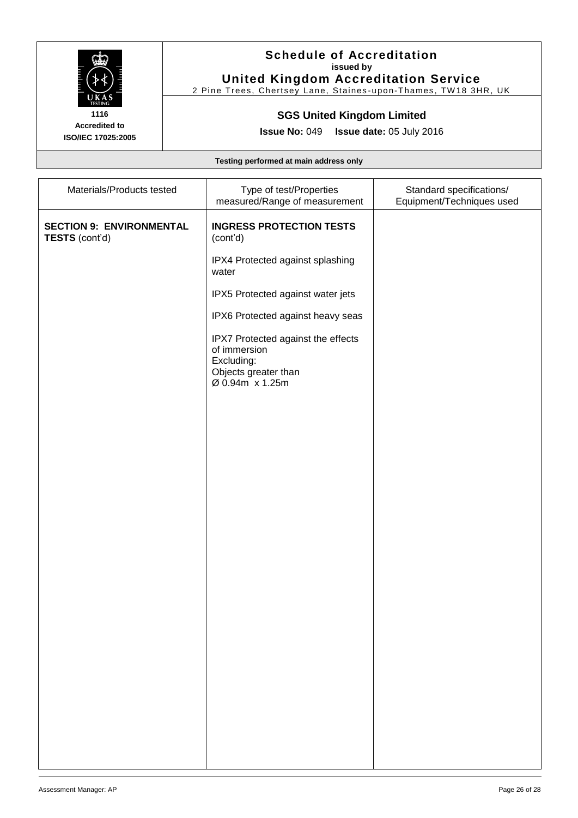

#### **Schedule of Accreditation issued by United Kingdom Accreditation Service**

2 Pine Trees, Chertsey Lane, Staines-upon-Thames, TW18 3HR, UK

#### **SGS United Kingdom Limited**

**Issue No:** 049 **Issue date:** 05 July 2016

| Materials/Products tested                         | Type of test/Properties<br>measured/Range of measurement                                                    | Standard specifications/<br>Equipment/Techniques used |
|---------------------------------------------------|-------------------------------------------------------------------------------------------------------------|-------------------------------------------------------|
| <b>SECTION 9: ENVIRONMENTAL</b><br>TESTS (cont'd) | <b>INGRESS PROTECTION TESTS</b><br>(cont'd)                                                                 |                                                       |
|                                                   | IPX4 Protected against splashing<br>water                                                                   |                                                       |
|                                                   | IPX5 Protected against water jets                                                                           |                                                       |
|                                                   | IPX6 Protected against heavy seas                                                                           |                                                       |
|                                                   | IPX7 Protected against the effects<br>of immersion<br>Excluding:<br>Objects greater than<br>Ø 0.94m x 1.25m |                                                       |
|                                                   |                                                                                                             |                                                       |
|                                                   |                                                                                                             |                                                       |
|                                                   |                                                                                                             |                                                       |
|                                                   |                                                                                                             |                                                       |
|                                                   |                                                                                                             |                                                       |
|                                                   |                                                                                                             |                                                       |
|                                                   |                                                                                                             |                                                       |
|                                                   |                                                                                                             |                                                       |
|                                                   |                                                                                                             |                                                       |
|                                                   |                                                                                                             |                                                       |
|                                                   |                                                                                                             |                                                       |
|                                                   |                                                                                                             |                                                       |
|                                                   |                                                                                                             |                                                       |
|                                                   |                                                                                                             |                                                       |
|                                                   |                                                                                                             |                                                       |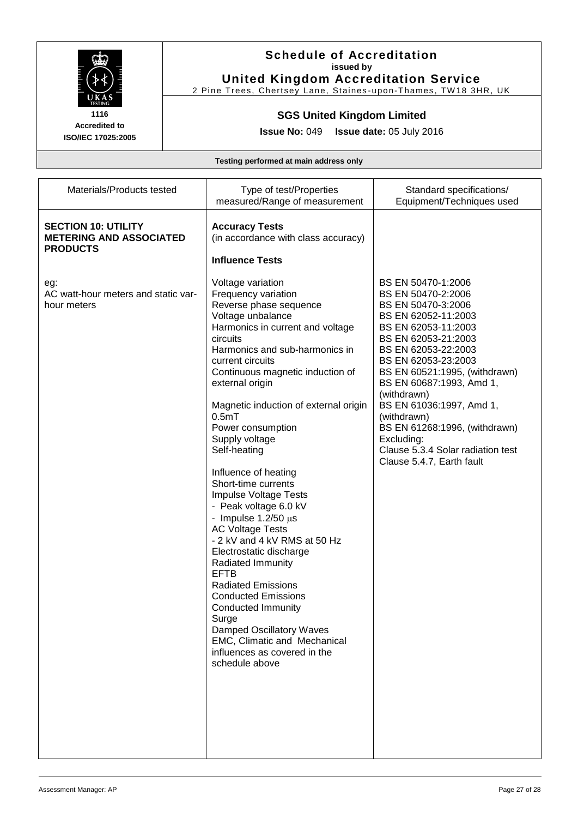

# **Schedule of Accreditation issued by**

**United Kingdom Accreditation Service** 2 Pine Trees, Chertsey Lane, Staines-upon-Thames, TW18 3HR, UK

#### **SGS United Kingdom Limited**

**Issue No:** 049 **Issue date:** 05 July 2016

| Materials/Products tested                                                       | Type of test/Properties<br>measured/Range of measurement                                                                                                                                                                                                                                                                                                                                                                                                                                                                                                                                                                                                                                                                                                                                                                                        | Standard specifications/<br>Equipment/Techniques used                                                                                                                                                                                                                                                                                                                                                                     |
|---------------------------------------------------------------------------------|-------------------------------------------------------------------------------------------------------------------------------------------------------------------------------------------------------------------------------------------------------------------------------------------------------------------------------------------------------------------------------------------------------------------------------------------------------------------------------------------------------------------------------------------------------------------------------------------------------------------------------------------------------------------------------------------------------------------------------------------------------------------------------------------------------------------------------------------------|---------------------------------------------------------------------------------------------------------------------------------------------------------------------------------------------------------------------------------------------------------------------------------------------------------------------------------------------------------------------------------------------------------------------------|
| <b>SECTION 10: UTILITY</b><br><b>METERING AND ASSOCIATED</b><br><b>PRODUCTS</b> | <b>Accuracy Tests</b><br>(in accordance with class accuracy)<br><b>Influence Tests</b>                                                                                                                                                                                                                                                                                                                                                                                                                                                                                                                                                                                                                                                                                                                                                          |                                                                                                                                                                                                                                                                                                                                                                                                                           |
| eg:<br>AC watt-hour meters and static var-<br>hour meters                       | Voltage variation<br>Frequency variation<br>Reverse phase sequence<br>Voltage unbalance<br>Harmonics in current and voltage<br>circuits<br>Harmonics and sub-harmonics in<br>current circuits<br>Continuous magnetic induction of<br>external origin<br>Magnetic induction of external origin<br>$0.5m$ T<br>Power consumption<br>Supply voltage<br>Self-heating<br>Influence of heating<br>Short-time currents<br>Impulse Voltage Tests<br>- Peak voltage 6.0 kV<br>- Impulse $1.2/50 \,\mu s$<br><b>AC Voltage Tests</b><br>- 2 kV and 4 kV RMS at 50 Hz<br>Electrostatic discharge<br>Radiated Immunity<br><b>EFTB</b><br><b>Radiated Emissions</b><br><b>Conducted Emissions</b><br><b>Conducted Immunity</b><br>Surge<br><b>Damped Oscillatory Waves</b><br>EMC, Climatic and Mechanical<br>influences as covered in the<br>schedule above | BS EN 50470-1:2006<br>BS EN 50470-2:2006<br>BS EN 50470-3:2006<br>BS EN 62052-11:2003<br>BS EN 62053-11:2003<br>BS EN 62053-21:2003<br>BS EN 62053-22:2003<br>BS EN 62053-23:2003<br>BS EN 60521:1995, (withdrawn)<br>BS EN 60687:1993, Amd 1,<br>(withdrawn)<br>BS EN 61036:1997, Amd 1,<br>(withdrawn)<br>BS EN 61268:1996, (withdrawn)<br>Excluding:<br>Clause 5.3.4 Solar radiation test<br>Clause 5.4.7, Earth fault |